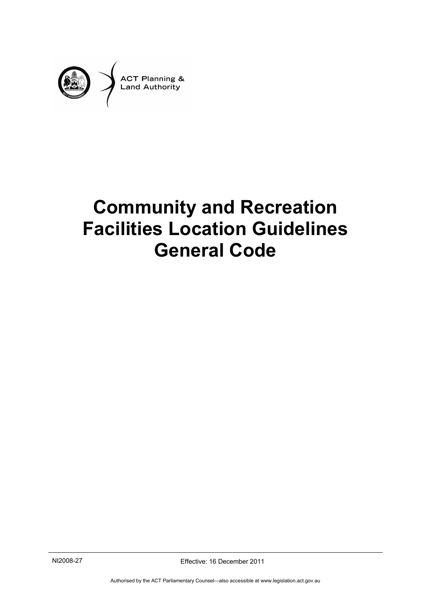

# <span id="page-0-0"></span>**Community and Recreation Facilities Location Guidelines General Code**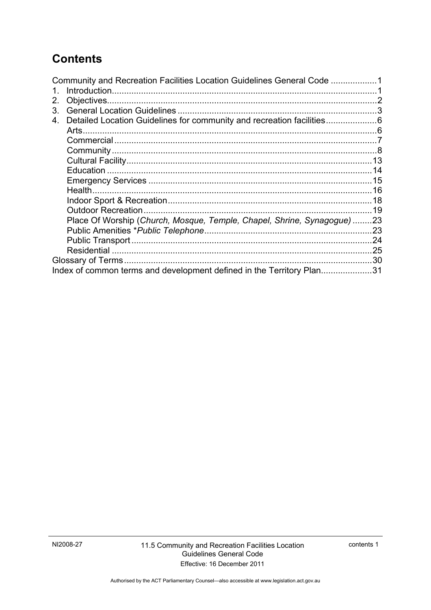# **Contents**

| Community and Recreation Facilities Location Guidelines General Code 1 |
|------------------------------------------------------------------------|
|                                                                        |
|                                                                        |
|                                                                        |
| Detailed Location Guidelines for community and recreation facilities6  |
|                                                                        |
|                                                                        |
|                                                                        |
|                                                                        |
|                                                                        |
|                                                                        |
|                                                                        |
|                                                                        |
|                                                                        |
| Place Of Worship (Church, Mosque, Temple, Chapel, Shrine, Synagogue)23 |
|                                                                        |
|                                                                        |
|                                                                        |
|                                                                        |
| Index of common terms and development defined in the Territory Plan31  |
|                                                                        |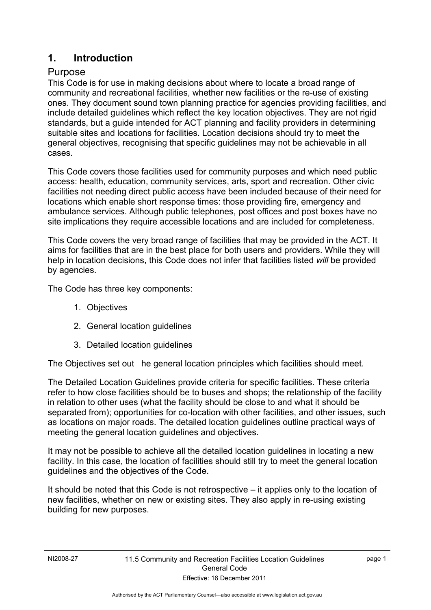### <span id="page-4-0"></span>**1. Introduction**

#### Purpose

This Code is for use in making decisions about where to locate a broad range of community and recreational facilities, whether new facilities or the re-use of existing ones. They document sound town planning practice for agencies providing facilities, and include detailed guidelines which reflect the key location objectives. They are not rigid standards, but a guide intended for ACT planning and facility providers in determining suitable sites and locations for facilities. Location decisions should try to meet the general objectives, recognising that specific guidelines may not be achievable in all cases.

This Code covers those facilities used for community purposes and which need public access: health, education, community services, arts, sport and recreation. Other civic facilities not needing direct public access have been included because of their need for locations which enable short response times: those providing fire, emergency and ambulance services. Although public telephones, post offices and post boxes have no site implications they require accessible locations and are included for completeness.

This Code covers the very broad range of facilities that may be provided in the ACT. It aims for facilities that are in the best place for both users and providers. While they will help in location decisions, this Code does not infer that facilities listed *will* be provided by agencies.

The Code has three key components:

- 1. Objectives
- 2. General location guidelines
- 3. Detailed location guidelines

The Objectives set out he general location principles which facilities should meet.

The Detailed Location Guidelines provide criteria for specific facilities. These criteria refer to how close facilities should be to buses and shops; the relationship of the facility in relation to other uses (what the facility should be close to and what it should be separated from); opportunities for co-location with other facilities, and other issues, such as locations on major roads. The detailed location guidelines outline practical ways of meeting the general location guidelines and objectives.

It may not be possible to achieve all the detailed location guidelines in locating a new facility. In this case, the location of facilities should still try to meet the general location guidelines and the objectives of the Code.

It should be noted that this Code is not retrospective – it applies only to the location of new facilities, whether on new or existing sites. They also apply in re-using existing building for new purposes.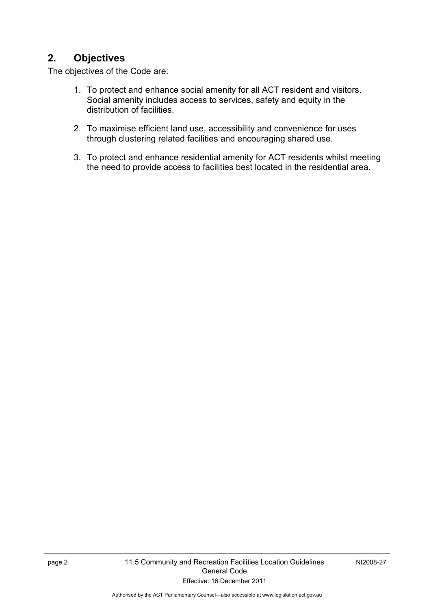## <span id="page-5-0"></span>**2. Objectives**

The objectives of the Code are:

- 1. To protect and enhance social amenity for all ACT resident and visitors. Social amenity includes access to services, safety and equity in the distribution of facilities.
- 2. To maximise efficient land use, accessibility and convenience for uses through clustering related facilities and encouraging shared use.
- 3. To protect and enhance residential amenity for ACT residents whilst meeting the need to provide access to facilities best located in the residential area.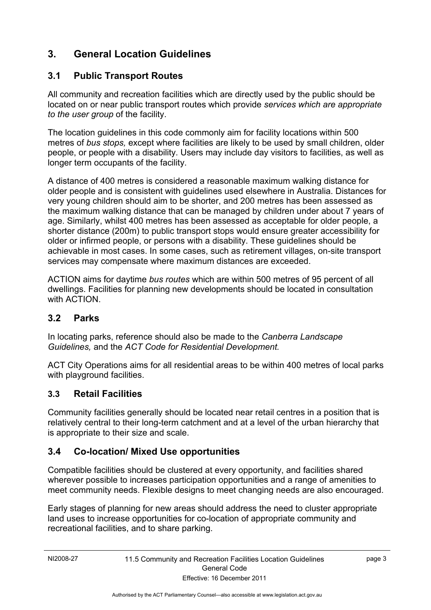## <span id="page-6-0"></span>**3. General Location Guidelines**

#### **3.1 Public Transport Routes**

All community and recreation facilities which are directly used by the public should be located on or near public transport routes which provide *services which are appropriate to the user group* of the facility.

The location guidelines in this code commonly aim for facility locations within 500 metres of *bus stops,* except where facilities are likely to be used by small children, older people, or people with a disability. Users may include day visitors to facilities, as well as longer term occupants of the facility.

A distance of 400 metres is considered a reasonable maximum walking distance for older people and is consistent with guidelines used elsewhere in Australia. Distances for very young children should aim to be shorter, and 200 metres has been assessed as the maximum walking distance that can be managed by children under about 7 years of age. Similarly, whilst 400 metres has been assessed as acceptable for older people, a shorter distance (200m) to public transport stops would ensure greater accessibility for older or infirmed people, or persons with a disability. These guidelines should be achievable in most cases. In some cases, such as retirement villages, on-site transport services may compensate where maximum distances are exceeded.

ACTION aims for daytime *bus routes* which are within 500 metres of 95 percent of all dwellings. Facilities for planning new developments should be located in consultation with ACTION.

#### **3.2 Parks**

In locating parks, reference should also be made to the *Canberra Landscape Guidelines,* and the *ACT Code for Residential Development.*

ACT City Operations aims for all residential areas to be within 400 metres of local parks with playground facilities.

#### **3.3 Retail Facilities**

Community facilities generally should be located near retail centres in a position that is relatively central to their long-term catchment and at a level of the urban hierarchy that is appropriate to their size and scale.

### **3.4 Co-location/ Mixed Use opportunities**

Compatible facilities should be clustered at every opportunity, and facilities shared wherever possible to increases participation opportunities and a range of amenities to meet community needs. Flexible designs to meet changing needs are also encouraged.

Early stages of planning for new areas should address the need to cluster appropriate land uses to increase opportunities for co-location of appropriate community and recreational facilities, and to share parking.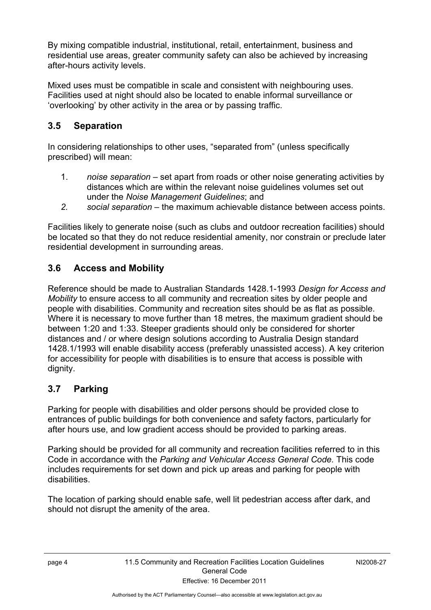By mixing compatible industrial, institutional, retail, entertainment, business and residential use areas, greater community safety can also be achieved by increasing after-hours activity levels.

Mixed uses must be compatible in scale and consistent with neighbouring uses. Facilities used at night should also be located to enable informal surveillance or 'overlooking' by other activity in the area or by passing traffic.

## **3.5 Separation**

In considering relationships to other uses, "separated from" (unless specifically prescribed) will mean:

- 1. *noise separation –* set apart from roads or other noise generating activities by distances which are within the relevant noise guidelines volumes set out under the *Noise Management Guidelines*; and
- *2. social separation* the maximum achievable distance between access points.

Facilities likely to generate noise (such as clubs and outdoor recreation facilities) should be located so that they do not reduce residential amenity, nor constrain or preclude later residential development in surrounding areas.

#### **3.6 Access and Mobility**

Reference should be made to Australian Standards 1428.1-1993 *Design for Access and Mobility* to ensure access to all community and recreation sites by older people and people with disabilities. Community and recreation sites should be as flat as possible. Where it is necessary to move further than 18 metres, the maximum gradient should be between 1:20 and 1:33. Steeper gradients should only be considered for shorter distances and / or where design solutions according to Australia Design standard 1428.1/1993 will enable disability access (preferably unassisted access). A key criterion for accessibility for people with disabilities is to ensure that access is possible with dignity.

### **3.7 Parking**

Parking for people with disabilities and older persons should be provided close to entrances of public buildings for both convenience and safety factors, particularly for after hours use, and low gradient access should be provided to parking areas.

Parking should be provided for all community and recreation facilities referred to in this Code in accordance with the *Parking and Vehicular Access General Code.* This code includes requirements for set down and pick up areas and parking for people with disabilities.

The location of parking should enable safe, well lit pedestrian access after dark, and should not disrupt the amenity of the area.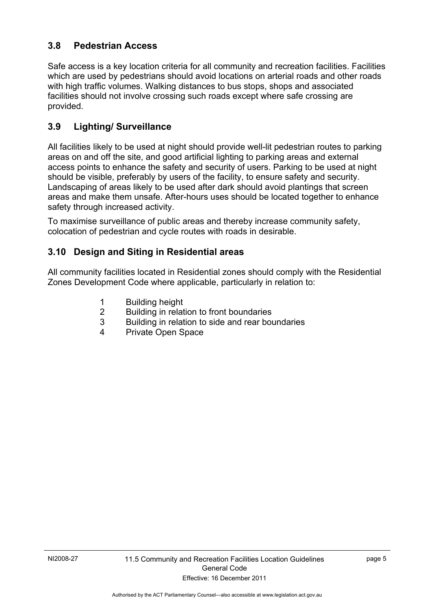#### **3.8 Pedestrian Access**

Safe access is a key location criteria for all community and recreation facilities. Facilities which are used by pedestrians should avoid locations on arterial roads and other roads with high traffic volumes. Walking distances to bus stops, shops and associated facilities should not involve crossing such roads except where safe crossing are provided.

### **3.9 Lighting/ Surveillance**

All facilities likely to be used at night should provide well-lit pedestrian routes to parking areas on and off the site, and good artificial lighting to parking areas and external access points to enhance the safety and security of users. Parking to be used at night should be visible, preferably by users of the facility, to ensure safety and security. Landscaping of areas likely to be used after dark should avoid plantings that screen areas and make them unsafe. After-hours uses should be located together to enhance safety through increased activity.

To maximise surveillance of public areas and thereby increase community safety, colocation of pedestrian and cycle routes with roads in desirable.

#### **3.10 Design and Siting in Residential areas**

All community facilities located in Residential zones should comply with the Residential Zones Development Code where applicable, particularly in relation to:

- 1 Building height
- 2 Building in relation to front boundaries<br>3 Building in relation to side and rear bo
- Building in relation to side and rear boundaries
- 4 Private Open Space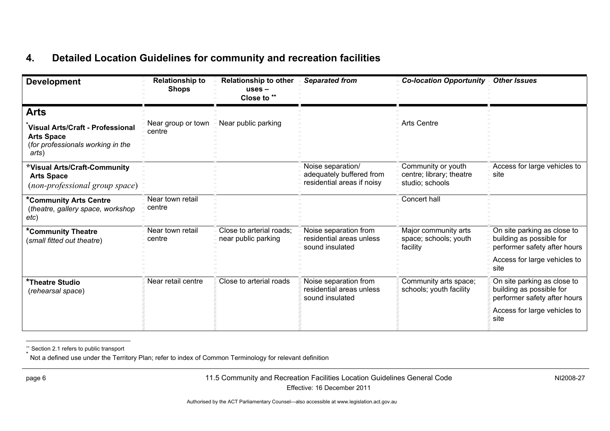## **4. Detailed Location Guidelines for community and recreation facilities**

| <b>Development</b>                                                                                                 | <b>Relationship to</b><br><b>Shops</b> | <b>Relationship to other</b><br>$uses -$<br>Close to ** | <b>Separated from</b>                                                       | <b>Co-location Opportunity</b>                                    | <b>Other Issues</b>                                                                                                                          |
|--------------------------------------------------------------------------------------------------------------------|----------------------------------------|---------------------------------------------------------|-----------------------------------------------------------------------------|-------------------------------------------------------------------|----------------------------------------------------------------------------------------------------------------------------------------------|
| <b>Arts</b><br>Visual Arts/Craft - Professional<br><b>Arts Space</b><br>(for professionals working in the<br>arts) | Near group or town<br>centre           | Near public parking                                     |                                                                             | <b>Arts Centre</b>                                                |                                                                                                                                              |
| *Visual Arts/Craft-Community<br><b>Arts Space</b><br>(non-professional group space)                                |                                        |                                                         | Noise separation/<br>adequately buffered from<br>residential areas if noisy | Community or youth<br>centre; library; theatre<br>studio; schools | Access for large vehicles to<br>site                                                                                                         |
| *Community Arts Centre<br>(theatre, gallery space, workshop<br>etc)                                                | Near town retail<br>centre             |                                                         |                                                                             | Concert hall                                                      |                                                                                                                                              |
| *Community Theatre<br>(small fitted out theatre)                                                                   | Near town retail<br>centre             | Close to arterial roads;<br>near public parking         | Noise separation from<br>residential areas unless<br>sound insulated        | Major community arts<br>space; schools; youth<br>facility         | $\overline{On}$ site parking as close to<br>building as possible for<br>performer safety after hours<br>Access for large vehicles to<br>site |
| <b>*Theatre Studio</b><br>(rehearsal space)                                                                        | Near retail centre                     | Close to arterial roads                                 | Noise separation from<br>residential areas unless<br>sound insulated        | Community arts space;<br>schools; youth facility                  | On site parking as close to<br>building as possible for<br>performer safety after hours<br>Access for large vehicles to<br>site              |

\*\* Section 2.1 refers to public transport

Not a defined use under the Territory Plan; refer to index of Common Terminology for relevant definition

<span id="page-9-1"></span><span id="page-9-0"></span>

page 6 11.5 Community and Recreation Facilities Location Guidelines General Code Effective: 16 December 2011

NI2008-27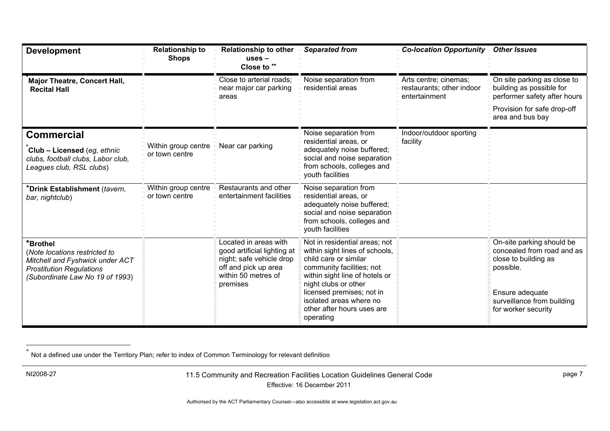| <b>Development</b>                                                                                                                                 | <b>Relationship to</b><br><b>Shops</b> | <b>Relationship to other</b><br>$uses -$<br>Close to **                                                                                     | <b>Separated from</b>                                                                                                                                                                                                                                                              | <b>Co-location Opportunity -</b>                                    | <b>Other Issues</b>                                                                                                                                                  |
|----------------------------------------------------------------------------------------------------------------------------------------------------|----------------------------------------|---------------------------------------------------------------------------------------------------------------------------------------------|------------------------------------------------------------------------------------------------------------------------------------------------------------------------------------------------------------------------------------------------------------------------------------|---------------------------------------------------------------------|----------------------------------------------------------------------------------------------------------------------------------------------------------------------|
| <b>Major Theatre, Concert Hall,</b><br><b>Recital Hall</b>                                                                                         |                                        | Close to arterial roads:<br>near major car parking<br>areas                                                                                 | Noise separation from<br>residential areas                                                                                                                                                                                                                                         | Arts centre; cinemas;<br>restaurants; other indoor<br>entertainment | On site parking as close to<br>building as possible for<br>performer safety after hours                                                                              |
|                                                                                                                                                    |                                        |                                                                                                                                             |                                                                                                                                                                                                                                                                                    |                                                                     | Provision for safe drop-off<br>area and bus bay                                                                                                                      |
| <b>Commercial</b><br>Club - Licensed (eg, ethnic<br>clubs, football clubs, Labor club,<br>Leagues club, RSL clubs)                                 | Within group centre<br>or town centre  | Near car parking                                                                                                                            | Noise separation from<br>residential areas, or<br>adequately noise buffered;<br>social and noise separation<br>from schools, colleges and<br>youth facilities                                                                                                                      | Indoor/outdoor sporting<br>facility                                 |                                                                                                                                                                      |
| *Drink Establishment (tavern,<br>bar, nightclub)                                                                                                   | Within group centre<br>or town centre  | Restaurants and other<br>entertainment facilities                                                                                           | Noise separation from<br>residential areas, or<br>adequately noise buffered;<br>social and noise separation<br>from schools, colleges and<br>youth facilities                                                                                                                      |                                                                     |                                                                                                                                                                      |
| *Brothel<br>(Note locations restricted to<br>Mitchell and Fyshwick under ACT<br><b>Prostitution Regulations</b><br>(Subordinate Law No 19 of 1993) |                                        | Located in areas with<br>good artificial lighting at<br>night; safe vehicle drop<br>off and pick up area<br>within 50 metres of<br>premises | Not in residential areas; not<br>within sight lines of schools,<br>child care or similar<br>community facilities; not<br>within sight line of hotels or<br>night clubs or other<br>licensed premises; not in<br>isolated areas where no<br>other after hours uses are<br>operating |                                                                     | On-site parking should be<br>concealed from road and as<br>close to building as<br>possible.<br>Ensure adequate<br>surveillance from building<br>for worker security |

 $^*$  Not a defined use under the Territory Plan; refer to index of Common Terminology for relevant definition

<span id="page-10-0"></span>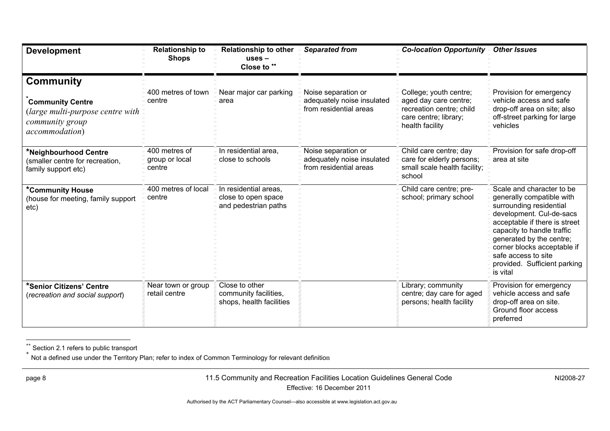| <b>Development</b>                                                              | <b>Relationship to</b><br><b>Shops</b>    | <b>Relationship to other</b><br>$uses -$<br>Close to **              | <b>Separated from</b>                                                       | <b>Co-location Opportunity</b>                                                                | <b>Other Issues</b>                                                                                                                                                                                                                                                                                        |
|---------------------------------------------------------------------------------|-------------------------------------------|----------------------------------------------------------------------|-----------------------------------------------------------------------------|-----------------------------------------------------------------------------------------------|------------------------------------------------------------------------------------------------------------------------------------------------------------------------------------------------------------------------------------------------------------------------------------------------------------|
| <b>Community</b><br><b>Community Centre</b>                                     | 400 metres of town<br>centre              | Near major car parking<br>area                                       | Noise separation or<br>adequately noise insulated                           | College; youth centre;<br>aged day care centre;                                               | Provision for emergency<br>vehicle access and safe                                                                                                                                                                                                                                                         |
| (large multi-purpose centre with<br>community group<br>accommodation)           |                                           |                                                                      | from residential areas                                                      | recreation centre; child<br>care centre; library;<br>health facility                          | drop-off area on site; also<br>off-street parking for large<br>vehicles                                                                                                                                                                                                                                    |
| *Neighbourhood Centre<br>(smaller centre for recreation,<br>family support etc) | 400 metres of<br>group or local<br>centre | In residential area,<br>close to schools                             | Noise separation or<br>adequately noise insulated<br>from residential areas | Child care centre; day<br>care for elderly persons;<br>small scale health facility;<br>school | Provision for safe drop-off<br>area at site                                                                                                                                                                                                                                                                |
| <b>*Community House</b><br>(house for meeting, family support<br>etc)           | 400 metres of local<br>centre             | In residential areas,<br>close to open space<br>and pedestrian paths |                                                                             | Child care centre; pre-<br>school; primary school                                             | Scale and character to be<br>generally compatible with<br>surrounding residential<br>development. Cul-de-sacs<br>acceptable if there is street<br>capacity to handle traffic<br>generated by the centre;<br>corner blocks acceptable if<br>safe access to site<br>provided. Sufficient parking<br>is vital |
| *Senior Citizens' Centre<br>(recreation and social support)                     | Near town or group<br>retail centre       | Close to other<br>community facilities,<br>shops, health facilities  |                                                                             | Library; community<br>centre; day care for aged<br>persons; health facility                   | Provision for emergency<br>vehicle access and safe<br>drop-off area on site.<br>Ground floor access<br>preferred                                                                                                                                                                                           |

 $\hbox{ }^{**}$  Section 2.1 refers to public transport<br>້ Not a defined use under the Territory Plan; refer to index of Common Terminology for relevant definition

<span id="page-11-0"></span>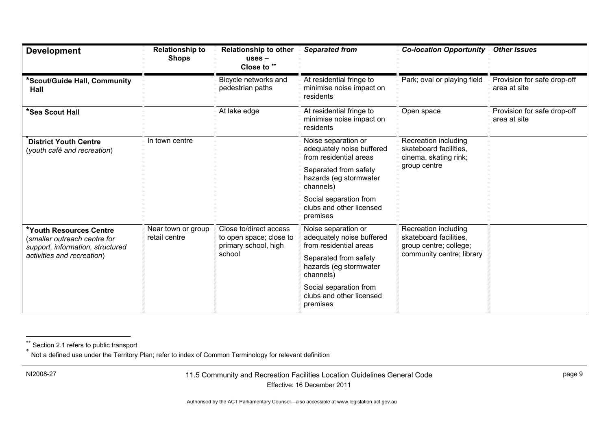| <b>Development</b>                                                                                                        | <b>Relationship to</b><br><b>Shops</b>        | <b>Relationship to other</b><br>$uses -$<br>Close to **                   | <b>Separated from</b>                                                      | <b>Co-location Opportunity -</b>                                                                      | <b>Other Issues</b>                         |
|---------------------------------------------------------------------------------------------------------------------------|-----------------------------------------------|---------------------------------------------------------------------------|----------------------------------------------------------------------------|-------------------------------------------------------------------------------------------------------|---------------------------------------------|
| *Scout/Guide Hall, Community<br>Hall                                                                                      |                                               | Bicycle networks and<br>pedestrian paths                                  | At residential fringe to<br>minimise noise impact on<br>residents          | Park; oval or playing field                                                                           | Provision for safe drop-off<br>area at site |
| *Sea Scout Hall                                                                                                           |                                               | At lake edge                                                              | At residential fringe to<br>minimise noise impact on<br>residents          | Open space                                                                                            | Provision for safe drop-off<br>area at site |
| <b>District Youth Centre</b><br>(youth café and recreation)                                                               | In town centre                                |                                                                           | Noise separation or<br>adequately noise buffered<br>from residential areas | Recreation including<br>skateboard facilities,<br>cinema, skating rink;<br>group centre               |                                             |
|                                                                                                                           |                                               |                                                                           | Separated from safety<br>hazards (eg stormwater<br>channels)               |                                                                                                       |                                             |
|                                                                                                                           |                                               |                                                                           | Social separation from<br>clubs and other licensed<br>premises             |                                                                                                       |                                             |
| *Youth Resources Centre<br>(smaller outreach centre for<br>support, information, structured<br>activities and recreation) | Near town or group<br>retail centre<br>school | Close to/direct access<br>to open space; close to<br>primary school, high | Noise separation or<br>adequately noise buffered<br>from residential areas | Recreation including<br>skateboard facilities,<br>group centre; college;<br>community centre; library |                                             |
|                                                                                                                           |                                               |                                                                           | Separated from safety<br>hazards (eg stormwater<br>channels)               |                                                                                                       |                                             |
|                                                                                                                           |                                               |                                                                           | Social separation from<br>clubs and other licensed<br>premises             |                                                                                                       |                                             |

Not a defined use under the Territory Plan; refer to index of Common Terminology for relevant definition

<sup>\*\*</sup> Section 2.1 refers to public transport \*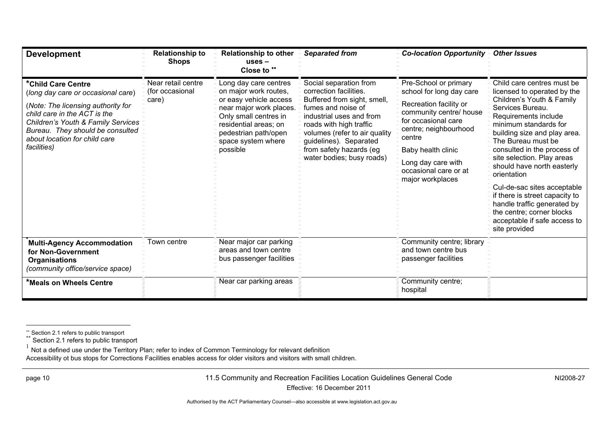| <b>Development</b>                                                                                                                                                                                                                                       | <b>Relationship to</b><br><b>Shops</b>         | <b>Relationship to other</b><br>$uses -$<br>Close to **                                                                                                                                                         | <b>Separated from</b>                                                                                                                                                                                                                                                           | <b>Co-location Opportunity</b>                                                                                                                                                                                                                            | <b>Other Issues</b>                                                                                                                                                                                                                                                                                                                                                                                                                                                                                       |
|----------------------------------------------------------------------------------------------------------------------------------------------------------------------------------------------------------------------------------------------------------|------------------------------------------------|-----------------------------------------------------------------------------------------------------------------------------------------------------------------------------------------------------------------|---------------------------------------------------------------------------------------------------------------------------------------------------------------------------------------------------------------------------------------------------------------------------------|-----------------------------------------------------------------------------------------------------------------------------------------------------------------------------------------------------------------------------------------------------------|-----------------------------------------------------------------------------------------------------------------------------------------------------------------------------------------------------------------------------------------------------------------------------------------------------------------------------------------------------------------------------------------------------------------------------------------------------------------------------------------------------------|
| *Child Care Centre<br>(long day care or occasional care)<br>(Note: The licensing authority for<br>child care in the ACT is the<br>Children's Youth & Family Services<br>Bureau. They should be consulted<br>about location for child care<br>facilities) | Near retail centre<br>(for occasional<br>care) | Long day care centres<br>on major work routes,<br>or easy vehicle access<br>near major work places.<br>Only small centres in<br>residential areas; on<br>pedestrian path/open<br>space system where<br>possible | Social separation from<br>correction facilities.<br>Buffered from sight, smell,<br>fumes and noise of<br>industrial uses and from<br>roads with high traffic<br>volumes (refer to air quality<br>guidelines). Separated<br>from safety hazards (eg<br>water bodies; busy roads) | Pre-School or primary<br>school for long day care<br>Recreation facility or<br>community centre/ house<br>for occasional care<br>centre; neighbourhood<br>centre<br>Baby health clinic<br>Long day care with<br>occasional care or at<br>major workplaces | Child care centres must be<br>licensed to operated by the<br>Children's Youth & Family<br>Services Bureau.<br>Requirements include<br>minimum standards for<br>building size and play area.<br>The Bureau must be<br>consulted in the process of<br>site selection. Play areas<br>should have north easterly<br>orientation<br>Cul-de-sac sites acceptable<br>if there is street capacity to<br>handle traffic generated by<br>the centre; corner blocks<br>acceptable if safe access to<br>site provided |
| <b>Multi-Agency Accommodation</b><br>for Non-Government<br><b>Organisations</b><br>(community office/service space)                                                                                                                                      | Town centre                                    | Near major car parking<br>areas and town centre<br>bus passenger facilities                                                                                                                                     |                                                                                                                                                                                                                                                                                 | Community centre; library<br>and town centre bus<br>passenger facilities                                                                                                                                                                                  |                                                                                                                                                                                                                                                                                                                                                                                                                                                                                                           |
| *Meals on Wheels Centre                                                                                                                                                                                                                                  |                                                | Near car parking areas                                                                                                                                                                                          |                                                                                                                                                                                                                                                                                 | Community centre;<br>hospital                                                                                                                                                                                                                             |                                                                                                                                                                                                                                                                                                                                                                                                                                                                                                           |

Accessibility ot bus stops for Corrections Facilities enables access for older visitors and visitors with small children.

page 10 11.5 Community and Recreation Facilities Location Guidelines General Code Effective: 16 December 2011

NI2008-27

Section 2.1 refers to public transport \*\* Section 2.1 refers to public transport

 $1$  Not a defined use under the Territory Plan; refer to index of Common Terminology for relevant definition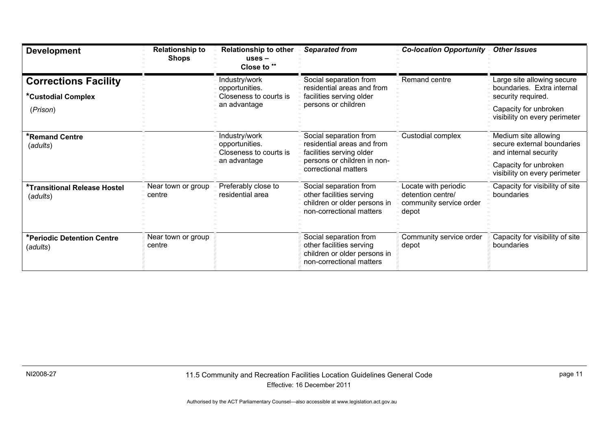| <b>Development</b>                                            | <b>Relationship to</b><br><b>Shops</b> | <b>Relationship to other</b><br>$uses -$<br>Close to **                   | <b>Separated from</b>                                                                                                                   | <b>Co-location Opportunity</b>                                                | <b>Other Issues</b>                                                                                                                      |
|---------------------------------------------------------------|----------------------------------------|---------------------------------------------------------------------------|-----------------------------------------------------------------------------------------------------------------------------------------|-------------------------------------------------------------------------------|------------------------------------------------------------------------------------------------------------------------------------------|
| <b>Corrections Facility</b><br>*Custodial Complex<br>(Prison) |                                        | Industry/work<br>opportunities.<br>Closeness to courts is<br>an advantage | Social separation from<br>residential areas and from<br>facilities serving older<br>persons or children                                 | Remand centre                                                                 | Large site allowing secure<br>boundaries. Extra internal<br>security required.<br>Capacity for unbroken<br>visibility on every perimeter |
| *Remand Centre<br>(adults)                                    |                                        | Industry/work<br>opportunities.<br>Closeness to courts is<br>an advantage | Social separation from<br>residential areas and from<br>facilities serving older<br>persons or children in non-<br>correctional matters | Custodial complex                                                             | Medium site allowing<br>secure external boundaries<br>and internal security<br>Capacity for unbroken<br>visibility on every perimeter    |
| *Transitional Release Hostel<br>(adults)                      | Near town or group<br>centre           | Preferably close to<br>residential area                                   | Social separation from<br>other facilities serving<br>children or older persons in<br>non-correctional matters                          | Locate with periodic<br>detention centre/<br>community service order<br>depot | Capacity for visibility of site<br>boundaries                                                                                            |
| *Periodic Detention Centre<br>(adults)                        | Near town or group<br>centre           |                                                                           | Social separation from<br>other facilities serving<br>children or older persons in<br>non-correctional matters                          | Community service order<br>depot                                              | Capacity for visibility of site<br>boundaries                                                                                            |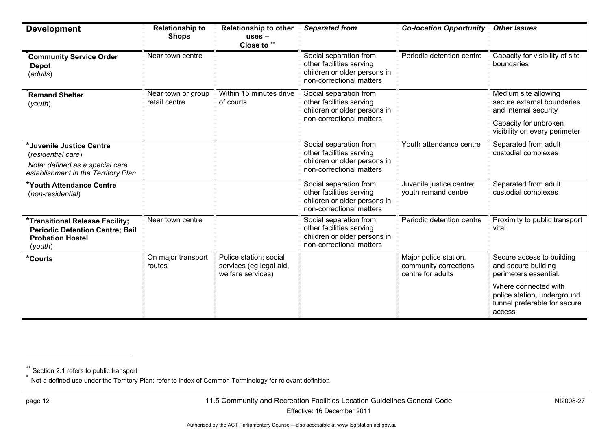| <b>Development</b>                                                                                                       | <b>Relationship to</b><br><b>Shops</b> | <b>Relationship to other</b><br>$uses -$<br>Close to **                | <b>Separated from</b>                                                                                          | <b>Co-location Opportunity</b>                                      | <b>Other Issues</b>                                                                                                                   |
|--------------------------------------------------------------------------------------------------------------------------|----------------------------------------|------------------------------------------------------------------------|----------------------------------------------------------------------------------------------------------------|---------------------------------------------------------------------|---------------------------------------------------------------------------------------------------------------------------------------|
| <b>Community Service Order</b><br><b>Depot</b><br>(adults)                                                               | Near town centre                       |                                                                        | Social separation from<br>other facilities serving<br>children or older persons in<br>non-correctional matters | Periodic detention centre                                           | Capacity for visibility of site<br>boundaries                                                                                         |
| <b>Remand Shelter</b><br>(youth)                                                                                         | Near town or group<br>retail centre    | Within 15 minutes drive<br>of courts                                   | Social separation from<br>other facilities serving<br>children or older persons in<br>non-correctional matters |                                                                     | Medium site allowing<br>secure external boundaries<br>and internal security<br>Capacity for unbroken<br>visibility on every perimeter |
| *Juvenile Justice Centre<br>(residential care)<br>Note: defined as a special care<br>establishment in the Territory Plan |                                        |                                                                        | Social separation from<br>other facilities serving<br>children or older persons in<br>non-correctional matters | Youth attendance centre                                             | Separated from adult<br>custodial complexes                                                                                           |
| *Youth Attendance Centre<br>(non-residential)                                                                            |                                        |                                                                        | Social separation from<br>other facilities serving<br>children or older persons in<br>non-correctional matters | Juvenile justice centre;<br>youth remand centre                     | Separated from adult<br>custodial complexes                                                                                           |
| *Transitional Release Facility;<br><b>Periodic Detention Centre; Bail</b><br><b>Probation Hostel</b><br>(youth)          | Near town centre                       |                                                                        | Social separation from<br>other facilities serving<br>children or older persons in<br>non-correctional matters | Periodic detention centre                                           | Proximity to public transport<br>vital                                                                                                |
| *Courts                                                                                                                  | On major transport<br>routes           | Police station; social<br>services (eg legal aid,<br>welfare services) |                                                                                                                | Major police station,<br>community corrections<br>centre for adults | Secure access to building<br>and secure building<br>perimeters essential.                                                             |
|                                                                                                                          |                                        |                                                                        |                                                                                                                |                                                                     | Where connected with<br>police station, underground<br>tunnel preferable for secure<br>access                                         |

 $\hbox{ }^{**}$  Section 2.1 refers to public transport<br>້ Not a defined use under the Territory Plan; refer to index of Common Terminology for relevant definition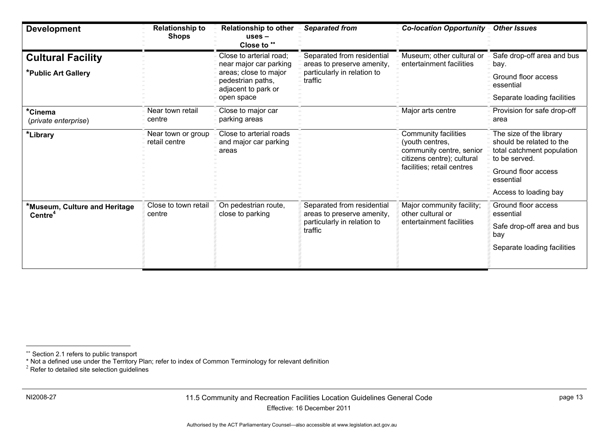| <b>Development</b>                                   | <b>Relationship to</b><br><b>Shops</b> | Relationship to other<br>$uses -$<br>Close to **                  | <b>Separated from</b>                                                                              | <b>Co-location Opportunity</b>                                                                                                         | <b>Other Issues</b>                                                                                                                                             |
|------------------------------------------------------|----------------------------------------|-------------------------------------------------------------------|----------------------------------------------------------------------------------------------------|----------------------------------------------------------------------------------------------------------------------------------------|-----------------------------------------------------------------------------------------------------------------------------------------------------------------|
| <b>Cultural Facility</b>                             |                                        | Close to arterial road;<br>near major car parking                 | Separated from residential<br>areas to preserve amenity,                                           | Museum; other cultural or<br>entertainment facilities                                                                                  | Safe drop-off area and bus<br>bay.                                                                                                                              |
| *Public Art Gallery                                  |                                        | areas; close to major<br>pedestrian paths,<br>adjacent to park or | particularly in relation to<br>traffic                                                             |                                                                                                                                        | Ground floor access<br>essential                                                                                                                                |
|                                                      |                                        | open space                                                        |                                                                                                    |                                                                                                                                        | Separate loading facilities                                                                                                                                     |
| *Cinema<br>(private enterprise)                      | Near town retail<br>centre             | Close to major car<br>parking areas                               |                                                                                                    | Major arts centre                                                                                                                      | Provision for safe drop-off<br>area                                                                                                                             |
| *Library                                             | Near town or group<br>retail centre    | Close to arterial roads<br>and major car parking<br>areas         |                                                                                                    | <b>Community facilities</b><br>(youth centres,<br>community centre, senior<br>citizens centre); cultural<br>facilities; retail centres | The size of the library<br>should be related to the<br>total catchment population<br>to be served.<br>Ground floor access<br>essential<br>Access to loading bay |
| *Museum, Culture and Heritage<br>Centre <sup>4</sup> | Close to town retail<br>centre         | On pedestrian route,<br>close to parking                          | Separated from residential<br>areas to preserve amenity,<br>particularly in relation to<br>traffic | Major community facility;<br>other cultural or<br>entertainment facilities                                                             | Ground floor access<br>essential<br>Safe drop-off area and bus<br>bay<br>Separate loading facilities                                                            |

Section 2.1 refers to public transport

<sup>\*</sup> Not a defined use under the Territory Plan; refer to index of Common Terminology for relevant definition 2 Refer to detailed site selection guidelines

<span id="page-16-0"></span>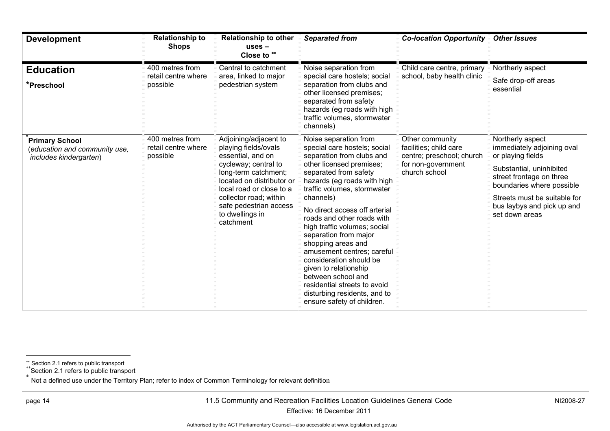| <b>Development</b>                                                               | <b>Relationship to</b><br><b>Shops</b>             | <b>Relationship to other</b><br>$uses -$<br>Close to **                                                                                                                                                                                                         | <b>Separated from</b>                                                                                                                                                                                                                                                                                                                                                                                                                                                                                                                                                  | <b>Co-location Opportunity</b>                                                                                | <b>Other Issues</b>                                                                                                                                                                                                                      |
|----------------------------------------------------------------------------------|----------------------------------------------------|-----------------------------------------------------------------------------------------------------------------------------------------------------------------------------------------------------------------------------------------------------------------|------------------------------------------------------------------------------------------------------------------------------------------------------------------------------------------------------------------------------------------------------------------------------------------------------------------------------------------------------------------------------------------------------------------------------------------------------------------------------------------------------------------------------------------------------------------------|---------------------------------------------------------------------------------------------------------------|------------------------------------------------------------------------------------------------------------------------------------------------------------------------------------------------------------------------------------------|
| <b>Education</b><br>*Preschool                                                   | 400 metres from<br>retail centre where<br>possible | Central to catchment<br>area, linked to major<br>pedestrian system                                                                                                                                                                                              | Noise separation from<br>special care hostels; social<br>separation from clubs and<br>other licensed premises;<br>separated from safety<br>hazards (eg roads with high<br>traffic volumes, stormwater<br>channels)                                                                                                                                                                                                                                                                                                                                                     | Child care centre, primary<br>school, baby health clinic                                                      | Northerly aspect<br>Safe drop-off areas<br>essential                                                                                                                                                                                     |
| <b>Primary School</b><br>(education and community use,<br>includes kindergarten) | 400 metres from<br>retail centre where<br>possible | Adjoining/adjacent to<br>playing fields/ovals<br>essential, and on<br>cycleway; central to<br>long-term catchment;<br>located on distributor or<br>local road or close to a<br>collector road; within<br>safe pedestrian access<br>to dwellings in<br>catchment | Noise separation from<br>special care hostels; social<br>separation from clubs and<br>other licensed premises;<br>separated from safety<br>hazards (eg roads with high<br>traffic volumes, stormwater<br>channels)<br>No direct access off arterial<br>roads and other roads with<br>high traffic volumes; social<br>separation from major<br>shopping areas and<br>amusement centres; careful<br>consideration should be<br>given to relationship<br>between school and<br>residential streets to avoid<br>disturbing residents, and to<br>ensure safety of children. | Other community<br>facilities; child care<br>centre; preschool; church<br>for non-government<br>church school | Northerly aspect<br>immediately adjoining oval<br>or playing fields<br>Substantial, uninhibited<br>street frontage on three<br>boundaries where possible<br>Streets must be suitable for<br>bus laybys and pick up and<br>set down areas |

Section 2.1 refers to public transport

\*\*Section 2.1 refers to public transport

<span id="page-17-0"></span>\* Not a defined use under the Territory Plan; refer to index of Common Terminology for relevant definition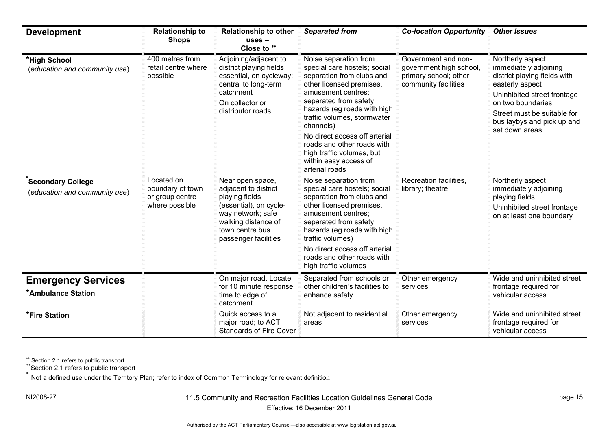| <b>Development</b>                                        | <b>Relationship to</b><br><b>Shops</b>                              | <b>Relationship to other</b><br>$uses -$<br>Close to **                                                                                                                     | <b>Separated from</b>                                                                                                                                                                                                                                                           | <b>Co-location Opportunity -</b>                                                                | <b>Other Issues</b>                                                                                                                                                                                                             |
|-----------------------------------------------------------|---------------------------------------------------------------------|-----------------------------------------------------------------------------------------------------------------------------------------------------------------------------|---------------------------------------------------------------------------------------------------------------------------------------------------------------------------------------------------------------------------------------------------------------------------------|-------------------------------------------------------------------------------------------------|---------------------------------------------------------------------------------------------------------------------------------------------------------------------------------------------------------------------------------|
| *High School<br>(education and community use)             | 400 metres from<br>retail centre where<br>possible                  | Adjoining/adjacent to<br>district playing fields<br>essential, on cycleway;<br>central to long-term<br>catchment<br>On collector or<br>distributor roads                    | Noise separation from<br>special care hostels; social<br>separation from clubs and<br>other licensed premises,<br>amusement centres;<br>separated from safety<br>hazards (eg roads with high<br>traffic volumes, stormwater<br>channels)                                        | Government and non-<br>government high school,<br>primary school; other<br>community facilities | Northerly aspect<br>immediately adjoining<br>district playing fields with<br>easterly aspect<br>Uninhibited street frontage<br>on two boundaries<br>Street must be suitable for<br>bus laybys and pick up and<br>set down areas |
|                                                           |                                                                     |                                                                                                                                                                             | No direct access off arterial<br>roads and other roads with<br>high traffic volumes, but<br>within easy access of<br>arterial roads                                                                                                                                             |                                                                                                 |                                                                                                                                                                                                                                 |
| <b>Secondary College</b><br>(education and community use) | Located on<br>boundary of town<br>or group centre<br>where possible | Near open space,<br>adjacent to district<br>playing fields<br>(essential), on cycle-<br>way network; safe<br>walking distance of<br>town centre bus<br>passenger facilities | Noise separation from<br>special care hostels; social<br>separation from clubs and<br>other licensed premises,<br>amusement centres:<br>separated from safety<br>hazards (eg roads with high<br>traffic volumes)<br>No direct access off arterial<br>roads and other roads with | Recreation facilities,<br>library; theatre                                                      | Northerly aspect<br>immediately adjoining<br>playing fields<br>Uninhibited street frontage<br>on at least one boundary                                                                                                          |
|                                                           |                                                                     |                                                                                                                                                                             | high traffic volumes                                                                                                                                                                                                                                                            |                                                                                                 | Wide and uninhibited street                                                                                                                                                                                                     |
| <b>Emergency Services</b>                                 |                                                                     | On major road. Locate<br>for 10 minute response                                                                                                                             | Separated from schools or<br>other children's facilities to                                                                                                                                                                                                                     | Other emergency<br>services                                                                     | frontage required for                                                                                                                                                                                                           |
| <b>*Ambulance Station</b>                                 |                                                                     | time to edge of<br>catchment                                                                                                                                                | enhance safety                                                                                                                                                                                                                                                                  |                                                                                                 | vehicular access                                                                                                                                                                                                                |
| *Fire Station                                             |                                                                     | Quick access to a<br>major road; to ACT<br><b>Standards of Fire Cover</b>                                                                                                   | Not adjacent to residential<br>areas                                                                                                                                                                                                                                            | Other emergency<br>services                                                                     | Wide and uninhibited street<br>frontage required for<br>vehicular access                                                                                                                                                        |

\*\* Section 2.1 refers to public transport

\*\*Section 2.1 refers to public transport \*

<span id="page-18-0"></span>Not a defined use under the Territory Plan; refer to index of Common Terminology for relevant definition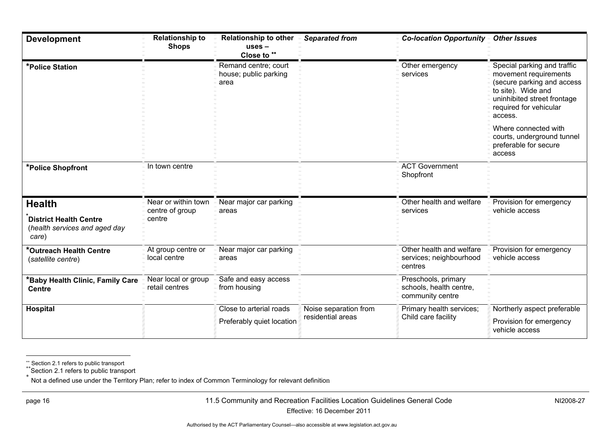| <b>Development</b>                                                      | <b>Relationship to</b><br><b>Shops</b> | <b>Relationship to other</b><br>uses –<br>Close to ** | <b>Separated from</b>                                             | <b>Co-location Opportunity</b>                                     | <b>Other Issues</b>                                                                                                                                                          |  |
|-------------------------------------------------------------------------|----------------------------------------|-------------------------------------------------------|-------------------------------------------------------------------|--------------------------------------------------------------------|------------------------------------------------------------------------------------------------------------------------------------------------------------------------------|--|
| *Police Station                                                         |                                        | Remand centre; court<br>house; public parking<br>area |                                                                   | Other emergency<br>services                                        | Special parking and traffic<br>movement requirements<br>(secure parking and access<br>to site). Wide and<br>uninhibited street frontage<br>required for vehicular<br>access. |  |
|                                                                         |                                        |                                                       |                                                                   |                                                                    | Where connected with<br>courts, underground tunnel<br>preferable for secure<br>access                                                                                        |  |
| *Police Shopfront                                                       | In town centre                         |                                                       |                                                                   | <b>ACT Government</b><br>Shopfront                                 |                                                                                                                                                                              |  |
| <b>Health</b>                                                           | Near or within town                    | Near major car parking<br>areas                       |                                                                   | Other health and welfare<br>services                               | Provision for emergency<br>vehicle access                                                                                                                                    |  |
| <b>District Health Centre</b><br>(health services and aged day<br>care) | centre of group<br>centre              |                                                       |                                                                   |                                                                    |                                                                                                                                                                              |  |
| *Outreach Health Centre<br>(satellite centre)                           | At group centre or<br>local centre     | Near major car parking<br>areas                       |                                                                   | Other health and welfare<br>services; neighbourhood<br>centres     | Provision for emergency<br>vehicle access                                                                                                                                    |  |
| *Baby Health Clinic, Family Care<br><b>Centre</b>                       | Near local or group<br>retail centres  | Safe and easy access<br>from housing                  |                                                                   | Preschools, primary<br>schools, health centre,<br>community centre |                                                                                                                                                                              |  |
| Hospital                                                                |                                        | Close to arterial roads                               | Noise separation from<br>residential areas<br>Child care facility | Primary health services;                                           | Northerly aspect preferable                                                                                                                                                  |  |
|                                                                         |                                        | Preferably quiet location                             |                                                                   |                                                                    | Provision for emergency<br>vehicle access                                                                                                                                    |  |

Section 2.1 refers to public transport

<sup>\*\*</sup>Section 2.1 refers to public transport

<span id="page-19-0"></span><sup>\*</sup> Not a defined use under the Territory Plan; refer to index of Common Terminology for relevant definition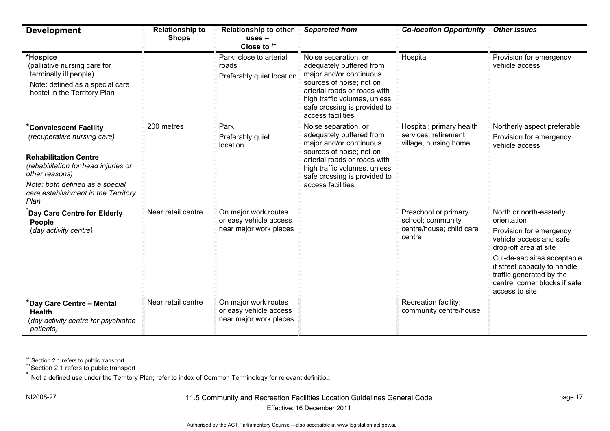| <b>Development</b>                                                                                                                                                                                                                | <b>Relationship to</b><br><b>Shops</b> | <b>Relationship to other</b><br>$uses -$<br>Close to **                  | <b>Separated from</b>                                                                                                                                                                                                        | <b>Co-location Opportunity</b>                                                  | <b>Other Issues</b>                                                                                                                                                                                                                                                 |
|-----------------------------------------------------------------------------------------------------------------------------------------------------------------------------------------------------------------------------------|----------------------------------------|--------------------------------------------------------------------------|------------------------------------------------------------------------------------------------------------------------------------------------------------------------------------------------------------------------------|---------------------------------------------------------------------------------|---------------------------------------------------------------------------------------------------------------------------------------------------------------------------------------------------------------------------------------------------------------------|
| *Hospice<br>(palliative nursing care for<br>terminally ill people)<br>Note: defined as a special care<br>hostel in the Territory Plan                                                                                             |                                        | Park; close to arterial<br>roads<br>Preferably quiet location            | Noise separation, or<br>adequately buffered from<br>major and/or continuous<br>sources of noise; not on<br>arterial roads or roads with<br>high traffic volumes, unless<br>safe crossing is provided to<br>access facilities | Hospital                                                                        | Provision for emergency<br>vehicle access                                                                                                                                                                                                                           |
| *Convalescent Facility<br>(recuperative nursing care)<br><b>Rehabilitation Centre</b><br>(rehabilitation for head injuries or<br>other reasons)<br>Note: both defined as a special<br>care establishment in the Territory<br>Plan | 200 metres                             | Park<br>Preferably quiet<br>location                                     | Noise separation, or<br>adequately buffered from<br>major and/or continuous<br>sources of noise; not on<br>arterial roads or roads with<br>high traffic volumes, unless<br>safe crossing is provided to<br>access facilities | Hospital; primary health<br>services; retirement<br>village, nursing home       | Northerly aspect preferable<br>Provision for emergency<br>vehicle access                                                                                                                                                                                            |
| Day Care Centre for Elderly<br>People<br>(day activity centre)                                                                                                                                                                    | Near retail centre                     | On major work routes<br>or easy vehicle access<br>near major work places |                                                                                                                                                                                                                              | Preschool or primary<br>school; community<br>centre/house; child care<br>centre | North or north-easterly<br>orientation<br>Provision for emergency<br>vehicle access and safe<br>drop-off area at site<br>Cul-de-sac sites acceptable<br>if street capacity to handle<br>traffic generated by the<br>centre; corner blocks if safe<br>access to site |
| *Day Care Centre – Mental<br><b>Health</b><br>(day activity centre for psychiatric<br>patients)                                                                                                                                   | Near retail centre                     | On major work routes<br>or easy vehicle access<br>near major work places |                                                                                                                                                                                                                              | Recreation facility;<br>community centre/house                                  |                                                                                                                                                                                                                                                                     |

\*\* Section 2.1 refers to public transport

\*\*Section 2.1 refers to public transport \*

Not a defined use under the Territory Plan; refer to index of Common Terminology for relevant definition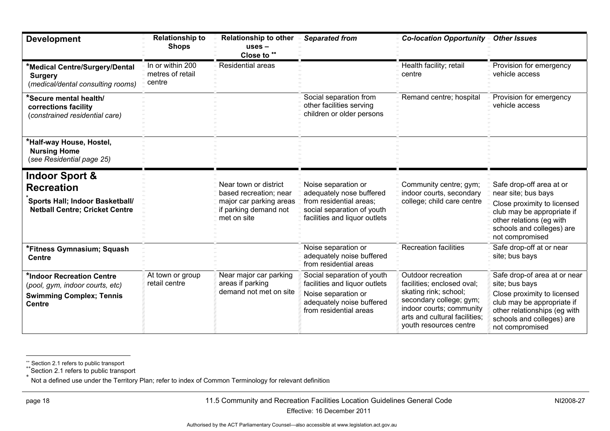| <b>Development</b>                                                                                                         | <b>Relationship to</b><br><b>Shops</b>         | <b>Relationship to other</b><br>$uses -$<br>Close to **                                                            | <b>Separated from</b>                                                                                                                     | Co-location Opportunity =                                                                                                                                                                   | <b>Other Issues</b>                                                                                                                                                                         |
|----------------------------------------------------------------------------------------------------------------------------|------------------------------------------------|--------------------------------------------------------------------------------------------------------------------|-------------------------------------------------------------------------------------------------------------------------------------------|---------------------------------------------------------------------------------------------------------------------------------------------------------------------------------------------|---------------------------------------------------------------------------------------------------------------------------------------------------------------------------------------------|
| *Medical Centre/Surgery/Dental<br><b>Surgery</b><br>(medical/dental consulting rooms)                                      | In or within 200<br>metres of retail<br>centre | Residential areas                                                                                                  |                                                                                                                                           | Health facility; retail<br>centre                                                                                                                                                           | Provision for emergency<br>vehicle access                                                                                                                                                   |
| *Secure mental health/<br>corrections facility<br>(constrained residential care)                                           |                                                |                                                                                                                    | Social separation from<br>other facilities serving<br>children or older persons                                                           | Remand centre; hospital                                                                                                                                                                     | Provision for emergency<br>vehicle access                                                                                                                                                   |
| *Half-way House, Hostel,<br><b>Nursing Home</b><br>(see Residential page 25)                                               |                                                |                                                                                                                    |                                                                                                                                           |                                                                                                                                                                                             |                                                                                                                                                                                             |
| <b>Indoor Sport &amp;</b><br><b>Recreation</b><br>Sports Hall; Indoor Basketball/<br><b>Netball Centre; Cricket Centre</b> |                                                | Near town or district<br>based recreation; near<br>major car parking areas<br>if parking demand not<br>met on site | Noise separation or<br>adequately nose buffered<br>from residential areas;<br>social separation of youth<br>facilities and liquor outlets | Community centre; gym;<br>indoor courts, secondary<br>college; child care centre                                                                                                            | Safe drop-off area at or<br>near site; bus bays<br>Close proximity to licensed<br>club may be appropriate if<br>other relations (eg with<br>schools and colleges) are<br>not compromised    |
| *Fitness Gymnasium; Squash<br><b>Centre</b>                                                                                |                                                |                                                                                                                    | Noise separation or<br>adequately noise buffered<br>from residential areas                                                                | <b>Recreation facilities</b>                                                                                                                                                                | Safe drop-off at or near<br>site; bus bays                                                                                                                                                  |
| *Indoor Recreation Centre<br>(pool, gym, indoor courts, etc)<br><b>Swimming Complex; Tennis</b><br><b>Centre</b>           | At town or group<br>retail centre              | Near major car parking<br>areas if parking<br>demand not met on site                                               | Social separation of youth<br>facilities and liquor outlets<br>Noise separation or<br>adequately noise buffered<br>from residential areas | Outdoor recreation<br>facilities; enclosed oval;<br>skating rink; school;<br>secondary college; gym;<br>indoor courts; community<br>arts and cultural facilities;<br>youth resources centre | Safe drop-of area at or near<br>site; bus bays<br>Close proximity to licensed<br>club may be appropriate if<br>other relationships (eg with<br>schools and colleges) are<br>not compromised |

Section 2.1 refers to public transport

<sup>\*\*</sup>Section 2.1 refers to public transport

<span id="page-21-0"></span><sup>\*</sup> Not a defined use under the Territory Plan; refer to index of Common Terminology for relevant definition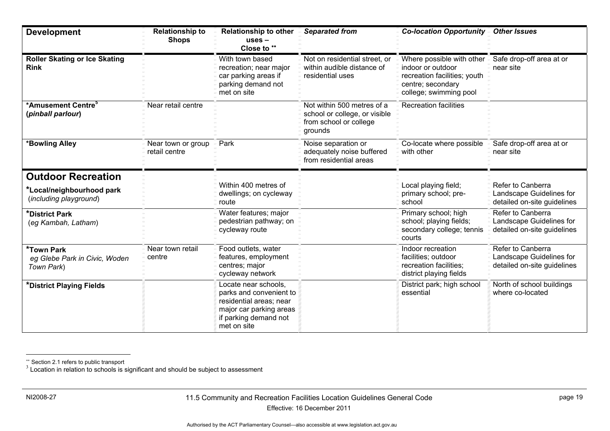| <b>Development</b>                                               | <b>Relationship to</b><br><b>Shops</b> | <b>Relationship to other</b><br>$uses -$<br>Close to **                                                                                       | <b>Separated from</b>                                                                            | <b>Co-location Opportunity</b>                                                                                                | <b>Other Issues</b>                                                          |
|------------------------------------------------------------------|----------------------------------------|-----------------------------------------------------------------------------------------------------------------------------------------------|--------------------------------------------------------------------------------------------------|-------------------------------------------------------------------------------------------------------------------------------|------------------------------------------------------------------------------|
| <b>Roller Skating or Ice Skating</b><br><b>Rink</b>              |                                        | With town based<br>recreation; near major<br>car parking areas if<br>parking demand not<br>met on site                                        | Not on residential street, or<br>within audible distance of<br>residential uses                  | Where possible with other<br>indoor or outdoor<br>recreation facilities; youth<br>centre; secondary<br>college; swimming pool | Safe drop-off area at or<br>near site                                        |
| *Amusement Centre <sup>5</sup><br>(pinball parlour)              | Near retail centre                     |                                                                                                                                               | Not within 500 metres of a<br>school or college, or visible<br>from school or college<br>grounds | <b>Recreation facilities</b>                                                                                                  |                                                                              |
| *Bowling Alley                                                   | Near town or group<br>retail centre    | Park                                                                                                                                          | Noise separation or<br>adequately noise buffered<br>from residential areas                       | Co-locate where possible<br>with other                                                                                        | Safe drop-off area at or<br>near site                                        |
| <b>Outdoor Recreation</b>                                        |                                        |                                                                                                                                               |                                                                                                  |                                                                                                                               |                                                                              |
| *Local/neighbourhood park<br>(including playground)              |                                        | Within 400 metres of<br>dwellings; on cycleway<br>route                                                                                       |                                                                                                  | Local playing field;<br>primary school; pre-<br>school                                                                        | Refer to Canberra<br>Landscape Guidelines for<br>detailed on-site guidelines |
| *District Park<br>(eg Kambah, Latham)                            |                                        | Water features; major<br>pedestrian pathway; on<br>cycleway route                                                                             |                                                                                                  | Primary school; high<br>school; playing fields;<br>secondary college; tennis<br>courts                                        | Refer to Canberra<br>Landscape Guidelines for<br>detailed on-site guidelines |
| <b>*Town Park</b><br>eg Glebe Park in Civic, Woden<br>Town Park) | Near town retail<br>centre             | Food outlets, water<br>features, employment<br>centres; major<br>cycleway network                                                             |                                                                                                  | Indoor recreation<br>facilities; outdoor<br>recreation facilities;<br>district playing fields                                 | Refer to Canberra<br>Landscape Guidelines for<br>detailed on-site guidelines |
| *District Playing Fields                                         |                                        | Locate near schools,<br>parks and convenient to<br>residential areas; near<br>major car parking areas<br>if parking demand not<br>met on site |                                                                                                  | District park; high school<br>essential                                                                                       | North of school buildings<br>where co-located                                |

<span id="page-22-0"></span> $^{\circ}$  Section 2.1 refers to public transport<br> $^3$  Location in relation to schools is significant and should be subject to assessment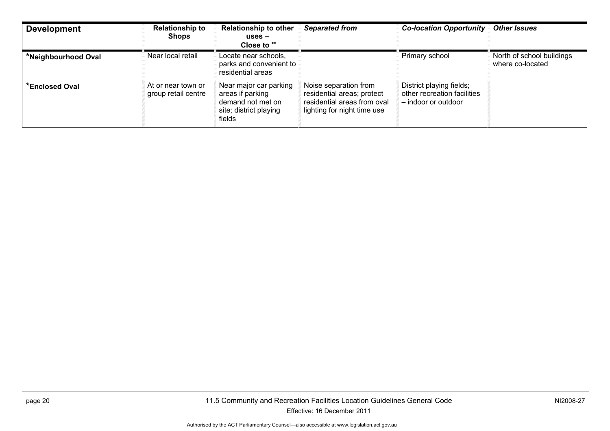| <b>Development</b>  | <b>Relationship to</b><br><b>Shops</b>    | <b>Relationship to other</b><br>$uses -$<br>Close to **                                             | <b>Separated from</b>                                                                                             | <b>Co-location Opportunity</b>                                                 | <b>Other Issues</b>                           |
|---------------------|-------------------------------------------|-----------------------------------------------------------------------------------------------------|-------------------------------------------------------------------------------------------------------------------|--------------------------------------------------------------------------------|-----------------------------------------------|
| *Neighbourhood Oval | Near local retail                         | Locate near schools,<br>parks and convenient to<br>residential areas                                |                                                                                                                   | Primary school                                                                 | North of school buildings<br>where co-located |
| *Enclosed Oval      | At or near town or<br>group retail centre | Near major car parking<br>areas if parking<br>demand not met on<br>site; district playing<br>fields | Noise separation from<br>residential areas; protect<br>residential areas from oval<br>lighting for night time use | District playing fields;<br>other recreation facilities<br>- indoor or outdoor |                                               |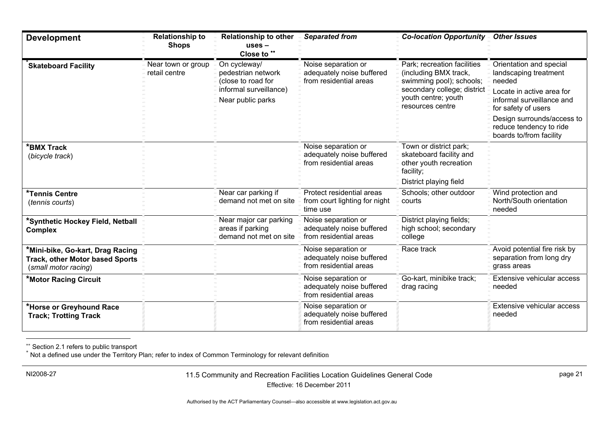| <b>Development</b>                                                                                 | <b>Relationship to</b><br><b>Shops</b> | <b>Relationship to other</b><br>$uses -$<br>Close to **              | <b>Separated from</b>                                                      | <b>Co-location Opportunity</b>                                                                                     | <b>Other Issues</b>                                                              |
|----------------------------------------------------------------------------------------------------|----------------------------------------|----------------------------------------------------------------------|----------------------------------------------------------------------------|--------------------------------------------------------------------------------------------------------------------|----------------------------------------------------------------------------------|
| <b>Skateboard Facility</b>                                                                         | Near town or group<br>retail centre    | On cycleway/<br>pedestrian network<br>(close to road for             | Noise separation or<br>adequately noise buffered<br>from residential areas | Park; recreation facilities<br>(including BMX track,<br>swimming pool); schools;                                   | Orientation and special<br>landscaping treatment<br>needed                       |
|                                                                                                    |                                        | informal surveillance)<br>Near public parks                          |                                                                            | secondary college; district<br>youth centre; youth<br>resources centre                                             | Locate in active area for<br>informal surveillance and<br>for safety of users    |
|                                                                                                    |                                        |                                                                      |                                                                            |                                                                                                                    | Design surrounds/access to<br>reduce tendency to ride<br>boards to/from facility |
| *BMX Track<br>(bicycle track)                                                                      |                                        |                                                                      | Noise separation or<br>adequately noise buffered<br>from residential areas | Town or district park;<br>skateboard facility and<br>other youth recreation<br>facility;<br>District playing field |                                                                                  |
| *Tennis Centre<br>(tennis courts)                                                                  |                                        | Near car parking if<br>demand not met on site                        | Protect residential areas<br>from court lighting for night<br>time use     | Schools; other outdoor<br>courts                                                                                   | Wind protection and<br>North/South orientation<br>needed                         |
| *Synthetic Hockey Field, Netball<br><b>Complex</b>                                                 |                                        | Near major car parking<br>areas if parking<br>demand not met on site | Noise separation or<br>adequately noise buffered<br>from residential areas | District playing fields;<br>high school; secondary<br>college                                                      |                                                                                  |
| *Mini-bike, Go-kart, Drag Racing<br><b>Track, other Motor based Sports</b><br>(small motor racing) |                                        |                                                                      | Noise separation or<br>adequately noise buffered<br>from residential areas | Race track                                                                                                         | Avoid potential fire risk by<br>separation from long dry<br>grass areas          |
| *Motor Racing Circuit                                                                              |                                        |                                                                      | Noise separation or<br>adequately noise buffered<br>from residential areas | Go-kart, minibike track;<br>drag racing                                                                            | Extensive vehicular access<br>needed                                             |
| *Horse or Greyhound Race<br><b>Track; Trotting Track</b>                                           |                                        |                                                                      | Noise separation or<br>adequately noise buffered<br>from residential areas |                                                                                                                    | Extensive vehicular access<br>needed                                             |

\*\* Section 2.1 refers to public transport<br><sup>\*</sup> Not a defined use under the Territory Plan; refer to index of Common Terminology for relevant definition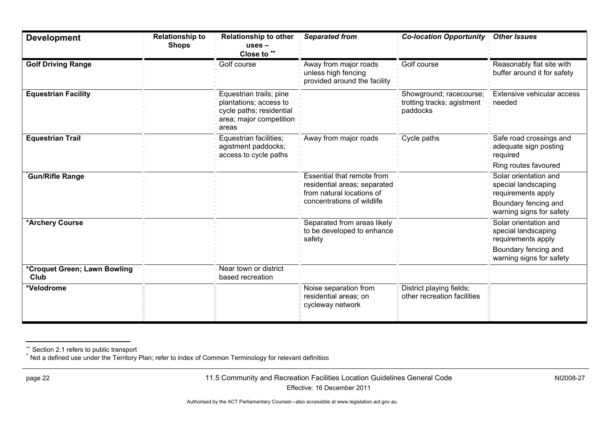| <b>Development</b>                   | <b>Relationship to</b><br><b>Shops</b> | <b>Relationship to other</b><br>$uses -$<br>Close to **                                                           | <b>Separated from</b>                                                                   | <b>Co-location Opportunity -</b>                                  | <b>Other Issues</b>                                                |
|--------------------------------------|----------------------------------------|-------------------------------------------------------------------------------------------------------------------|-----------------------------------------------------------------------------------------|-------------------------------------------------------------------|--------------------------------------------------------------------|
| <b>Golf Driving Range</b>            |                                        | Golf course                                                                                                       | Away from major roads<br>unless high fencing<br>provided around the facility            | Golf course                                                       | Reasonably flat site with<br>buffer around it for safety           |
| <b>Equestrian Facility</b>           |                                        | Equestrian trails; pine<br>plantations; access to<br>cycle paths; residential<br>area; major competition<br>areas |                                                                                         | Showground; racecourse;<br>trotting tracks; agistment<br>paddocks | Extensive vehicular access<br>needed                               |
| <b>Equestrian Trail</b>              |                                        | Equestrian facilities;<br>agistment paddocks;<br>access to cycle paths                                            | Away from major roads                                                                   | Cycle paths                                                       | Safe road crossings and<br>adequate sign posting<br>required       |
|                                      |                                        |                                                                                                                   |                                                                                         |                                                                   | Ring routes favoured                                               |
| Gun/Rifle Range                      |                                        |                                                                                                                   | Essential that remote from<br>residential areas; separated<br>from natural locations of |                                                                   | Solar orientation and<br>special landscaping<br>requirements apply |
|                                      |                                        |                                                                                                                   | concentrations of wildlife                                                              |                                                                   | Boundary fencing and<br>warning signs for safety                   |
| *Archery Course                      |                                        |                                                                                                                   | Separated from areas likely<br>to be developed to enhance<br>safety                     |                                                                   | Solar orientation and<br>special landscaping<br>requirements apply |
|                                      |                                        |                                                                                                                   |                                                                                         |                                                                   | Boundary fencing and<br>warning signs for safety                   |
| *Croquet Green; Lawn Bowling<br>Club |                                        | Near town or district<br>based recreation                                                                         |                                                                                         |                                                                   |                                                                    |
| *Velodrome                           |                                        |                                                                                                                   | Noise separation from<br>residential areas; on<br>cycleway network                      | District playing fields;<br>other recreation facilities           |                                                                    |

<sup>\*\*</sup> Section 2.1 refers to public transport<br><sup>\*</sup> Not a defined use under the Territory Plan; refer to index of Common Terminology for relevant definition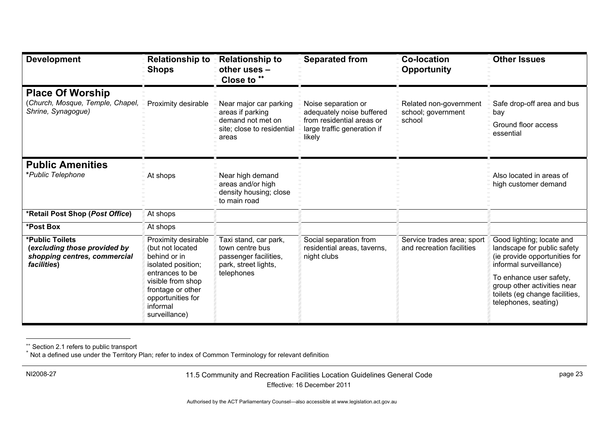| <b>Development</b>                                                                             | <b>Relationship to</b><br><b>Shops</b>                                                                                                                                                       | <b>Relationship to</b><br>other uses -<br>Close to **                                                   | <b>Separated from</b>                                                                                                  | <b>Co-location</b><br><b>Opportunity</b>                | <b>Other Issues</b>                                                                                                                                                                                                                     |
|------------------------------------------------------------------------------------------------|----------------------------------------------------------------------------------------------------------------------------------------------------------------------------------------------|---------------------------------------------------------------------------------------------------------|------------------------------------------------------------------------------------------------------------------------|---------------------------------------------------------|-----------------------------------------------------------------------------------------------------------------------------------------------------------------------------------------------------------------------------------------|
| <b>Place Of Worship</b><br>(Church, Mosque, Temple, Chapel,<br>Shrine, Synagogue)              | Proximity desirable                                                                                                                                                                          | Near major car parking<br>areas if parking<br>demand not met on<br>site; close to residential<br>areas  | Noise separation or<br>adequately noise buffered<br>from residential areas or<br>large traffic generation if<br>likely | Related non-government<br>school; government<br>school  | Safe drop-off area and bus<br>bay<br>Ground floor access<br>essential                                                                                                                                                                   |
| <b>Public Amenities</b><br>*Public Telephone                                                   | At shops                                                                                                                                                                                     | Near high demand<br>areas and/or high<br>density housing; close<br>to main road                         |                                                                                                                        |                                                         | Also located in areas of<br>high customer demand                                                                                                                                                                                        |
| *Retail Post Shop (Post Office)                                                                | At shops                                                                                                                                                                                     |                                                                                                         |                                                                                                                        |                                                         |                                                                                                                                                                                                                                         |
| *Post Box                                                                                      | At shops                                                                                                                                                                                     |                                                                                                         |                                                                                                                        |                                                         |                                                                                                                                                                                                                                         |
| *Public Toilets<br>(excluding those provided by<br>shopping centres, commercial<br>facilities) | Proximity desirable<br>(but not located<br>behind or in<br>isolated position;<br>entrances to be<br>visible from shop<br>frontage or other<br>opportunities for<br>informal<br>surveillance) | Taxi stand, car park,<br>town centre bus<br>passenger facilities,<br>park, street lights,<br>telephones | Social separation from<br>residential areas, taverns,<br>night clubs                                                   | Service trades area; sport<br>and recreation facilities | Good lighting; locate and<br>landscape for public safety<br>(ie provide opportunities for<br>informal surveillance)<br>To enhance user safety,<br>group other activities near<br>toilets (eg change facilities,<br>telephones, seating) |

\*\* Section 2.1 refers to public transport<br><sup>\*</sup> Not a defined use under the Territory Plan; refer to index of Common Terminology for relevant definition

<span id="page-26-1"></span><span id="page-26-0"></span>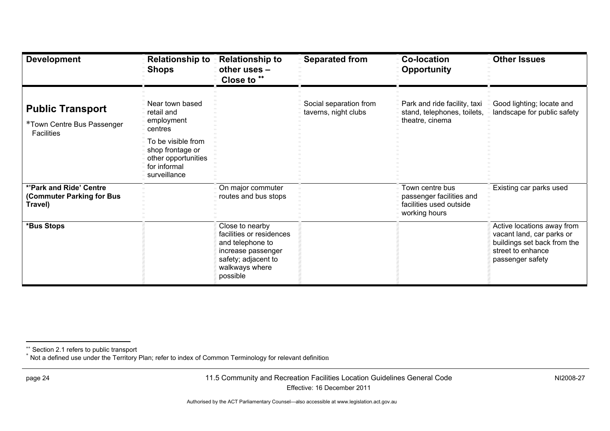| <b>Development</b>                                                         | <b>Relationship to</b><br><b>Shops</b>                                                                                                                  | <b>Relationship to</b><br>other uses -<br>Close to **                                                                                      | <b>Separated from</b>                          | <b>Co-location</b><br><b>Opportunity</b>                                                | <b>Other Issues</b>                                                                                                             |
|----------------------------------------------------------------------------|---------------------------------------------------------------------------------------------------------------------------------------------------------|--------------------------------------------------------------------------------------------------------------------------------------------|------------------------------------------------|-----------------------------------------------------------------------------------------|---------------------------------------------------------------------------------------------------------------------------------|
| <b>Public Transport</b><br>*Town Centre Bus Passenger<br><b>Facilities</b> | Near town based<br>retail and<br>employment<br>centres<br>To be visible from<br>shop frontage or<br>other opportunities<br>for informal<br>surveillance |                                                                                                                                            | Social separation from<br>taverns, night clubs | Park and ride facility, taxi<br>stand, telephones, toilets,<br>theatre, cinema          | Good lighting; locate and<br>landscape for public safety                                                                        |
| *'Park and Ride' Centre<br>(Commuter Parking for Bus<br>Travel)            |                                                                                                                                                         | On major commuter<br>routes and bus stops                                                                                                  |                                                | Town centre bus<br>passenger facilities and<br>facilities used outside<br>working hours | Existing car parks used                                                                                                         |
| *Bus Stops                                                                 |                                                                                                                                                         | Close to nearby<br>facilities or residences<br>and telephone to<br>increase passenger<br>safety; adjacent to<br>walkways where<br>possible |                                                |                                                                                         | Active locations away from<br>vacant land, car parks or<br>buildings set back from the<br>street to enhance<br>passenger safety |

<span id="page-27-0"></span><sup>\*\*</sup> Section 2.1 refers to public transport<br><sup>\*</sup> Not a defined use under the Territory Plan; refer to index of Common Terminology for relevant definition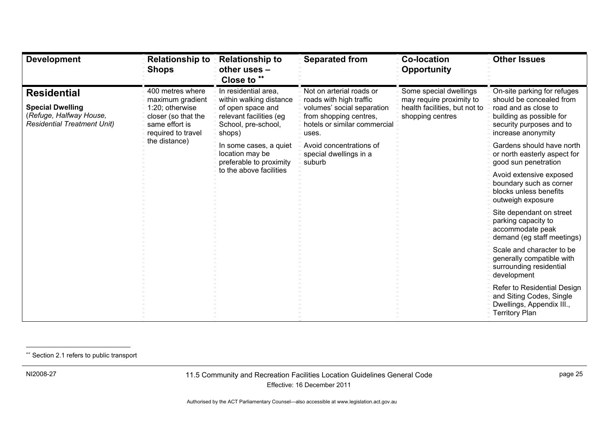| <b>Development</b>                                                                                             | <b>Relationship to</b><br><b>Shops</b>                                                                                 | <b>Relationship to</b><br>other uses -<br>Close to **                                                                            | <b>Separated from</b>                                                                                                                                | <b>Co-location</b><br><b>Opportunity</b>                                                                | <b>Other Issues</b>                                                                                                                                           |
|----------------------------------------------------------------------------------------------------------------|------------------------------------------------------------------------------------------------------------------------|----------------------------------------------------------------------------------------------------------------------------------|------------------------------------------------------------------------------------------------------------------------------------------------------|---------------------------------------------------------------------------------------------------------|---------------------------------------------------------------------------------------------------------------------------------------------------------------|
| <b>Residential</b><br><b>Special Dwelling</b><br>(Refuge, Halfway House,<br><b>Residential Treatment Unit)</b> | 400 metres where<br>maximum gradient<br>1:20; otherwise<br>closer (so that the<br>same effort is<br>required to travel | In residential area,<br>within walking distance<br>of open space and<br>relevant facilities (eg<br>School, pre-school,<br>shops) | Not on arterial roads or<br>roads with high traffic<br>volumes' social separation<br>from shopping centres,<br>hotels or similar commercial<br>uses. | Some special dwellings<br>may require proximity to<br>health facilities, but not to<br>shopping centres | On-site parking for refuges<br>should be concealed from<br>road and as close to<br>building as possible for<br>security purposes and to<br>increase anonymity |
|                                                                                                                | the distance)                                                                                                          | In some cases, a quiet<br>location may be<br>preferable to proximity                                                             | Avoid concentrations of<br>special dwellings in a<br>suburb                                                                                          |                                                                                                         | Gardens should have north<br>or north easterly aspect for<br>good sun penetration                                                                             |
|                                                                                                                |                                                                                                                        | to the above facilities                                                                                                          |                                                                                                                                                      |                                                                                                         | Avoid extensive exposed<br>boundary such as corner<br>blocks unless benefits<br>outweigh exposure                                                             |
|                                                                                                                |                                                                                                                        |                                                                                                                                  |                                                                                                                                                      | Site dependant on street<br>parking capacity to<br>accommodate peak<br>demand (eg staff meetings)       |                                                                                                                                                               |
|                                                                                                                |                                                                                                                        |                                                                                                                                  |                                                                                                                                                      | Scale and character to be<br>generally compatible with<br>surrounding residential<br>development        |                                                                                                                                                               |
|                                                                                                                |                                                                                                                        |                                                                                                                                  |                                                                                                                                                      |                                                                                                         | Refer to Residential Design<br>and Siting Codes, Single<br>Dwellings, Appendix III.,<br><b>Territory Plan</b>                                                 |

\*\* Section 2.1 refers to public transport

<span id="page-28-0"></span>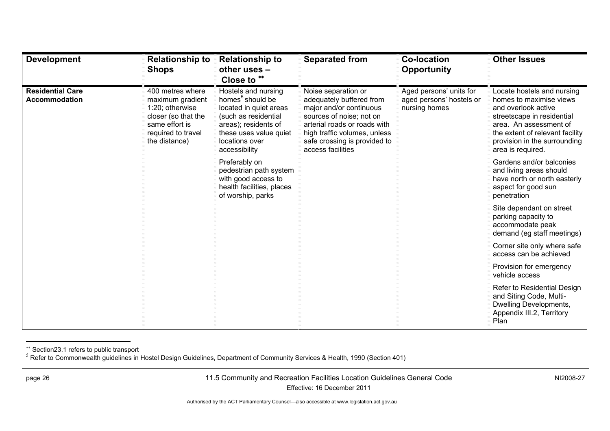| <b>Development</b>                              | <b>Relationship to</b><br><b>Shops</b>                                                                                                  | <b>Relationship to</b><br>other uses -<br>Close to **                                                                                                                                      | <b>Separated from</b>                                                                                                                                                                                                       | <b>Co-location</b><br>Opportunity                                    | <b>Other Issues</b>                                                                                                                                                                                                          |
|-------------------------------------------------|-----------------------------------------------------------------------------------------------------------------------------------------|--------------------------------------------------------------------------------------------------------------------------------------------------------------------------------------------|-----------------------------------------------------------------------------------------------------------------------------------------------------------------------------------------------------------------------------|----------------------------------------------------------------------|------------------------------------------------------------------------------------------------------------------------------------------------------------------------------------------------------------------------------|
| <b>Residential Care</b><br><b>Accommodation</b> | 400 metres where<br>maximum gradient<br>1:20; otherwise<br>closer (so that the<br>same effort is<br>required to travel<br>the distance) | Hostels and nursing<br>homes <sup>5</sup> should be<br>located in quiet areas<br>(such as residential<br>areas); residents of<br>these uses value quiet<br>locations over<br>accessibility | Noise separation or<br>adequately buffered from<br>major and/or continuous<br>sources of noise; not on<br>arterial roads or roads with<br>high traffic volumes, unless<br>safe crossing is provided to<br>access facilities | Aged persons' units for<br>aged persons' hostels or<br>nursing homes | Locate hostels and nursing<br>homes to maximise views<br>and overlook active<br>streetscape in residential<br>area. An assessment of<br>the extent of relevant facility<br>provision in the surrounding<br>area is required. |
|                                                 |                                                                                                                                         | Preferably on<br>pedestrian path system<br>with good access to<br>health facilities, places<br>of worship, parks                                                                           |                                                                                                                                                                                                                             |                                                                      | Gardens and/or balconies<br>and living areas should<br>have north or north easterly<br>aspect for good sun<br>penetration                                                                                                    |
|                                                 |                                                                                                                                         |                                                                                                                                                                                            |                                                                                                                                                                                                                             |                                                                      | Site dependant on street<br>parking capacity to<br>accommodate peak<br>demand (eg staff meetings)                                                                                                                            |
|                                                 |                                                                                                                                         |                                                                                                                                                                                            |                                                                                                                                                                                                                             |                                                                      | Corner site only where safe<br>access can be achieved                                                                                                                                                                        |
|                                                 |                                                                                                                                         |                                                                                                                                                                                            |                                                                                                                                                                                                                             |                                                                      | Provision for emergency<br>vehicle access                                                                                                                                                                                    |
|                                                 |                                                                                                                                         |                                                                                                                                                                                            |                                                                                                                                                                                                                             |                                                                      | Refer to Residential Design<br>and Siting Code, Multi-<br>Dwelling Developments,<br>Appendix III.2, Territory<br>Plan                                                                                                        |

\*\* Section23.1 refers to public transport<br><sup>5</sup> Refer to Commonwealth guidelines in Hostel Design Guidelines, Department of Community Services & Health, 1990 (Section 401)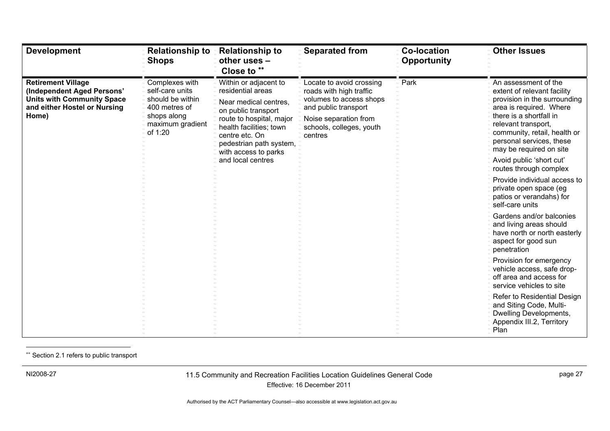| <b>Development</b>                                                                                                                    | <b>Relationship to</b><br><b>Shops</b>                                                                               | <b>Relationship to</b><br>other uses -<br>Close to **                                                                                                                                                                  | <b>Separated from</b>                                                                                                                                                  | <b>Co-location</b><br><b>Opportunity</b> | <b>Other Issues</b>                                                                                                                                                                                                                                     |  |                                                                                                       |
|---------------------------------------------------------------------------------------------------------------------------------------|----------------------------------------------------------------------------------------------------------------------|------------------------------------------------------------------------------------------------------------------------------------------------------------------------------------------------------------------------|------------------------------------------------------------------------------------------------------------------------------------------------------------------------|------------------------------------------|---------------------------------------------------------------------------------------------------------------------------------------------------------------------------------------------------------------------------------------------------------|--|-------------------------------------------------------------------------------------------------------|
| <b>Retirement Village</b><br>(Independent Aged Persons'<br><b>Units with Community Space</b><br>and either Hostel or Nursing<br>Home) | Complexes with<br>self-care units<br>should be within<br>400 metres of<br>shops along<br>maximum gradient<br>of 1:20 | Within or adjacent to<br>residential areas<br>Near medical centres,<br>on public transport<br>route to hospital, major<br>health facilities; town<br>centre etc. On<br>pedestrian path system,<br>with access to parks | Locate to avoid crossing<br>roads with high traffic<br>volumes to access shops<br>and public transport<br>Noise separation from<br>schools, colleges, youth<br>centres | Park                                     | An assessment of the<br>extent of relevant facility<br>provision in the surrounding<br>area is required. Where<br>there is a shortfall in<br>relevant transport,<br>community, retail, health or<br>personal services, these<br>may be required on site |  |                                                                                                       |
|                                                                                                                                       |                                                                                                                      | and local centres                                                                                                                                                                                                      |                                                                                                                                                                        |                                          | Avoid public 'short cut'<br>routes through complex                                                                                                                                                                                                      |  |                                                                                                       |
|                                                                                                                                       |                                                                                                                      |                                                                                                                                                                                                                        |                                                                                                                                                                        |                                          |                                                                                                                                                                                                                                                         |  | Provide individual access to<br>private open space (eg<br>patios or verandahs) for<br>self-care units |
|                                                                                                                                       |                                                                                                                      |                                                                                                                                                                                                                        |                                                                                                                                                                        |                                          | Gardens and/or balconies<br>and living areas should<br>have north or north easterly<br>aspect for good sun<br>penetration                                                                                                                               |  |                                                                                                       |
|                                                                                                                                       |                                                                                                                      |                                                                                                                                                                                                                        |                                                                                                                                                                        |                                          | Provision for emergency<br>vehicle access, safe drop-<br>off area and access for<br>service vehicles to site                                                                                                                                            |  |                                                                                                       |
|                                                                                                                                       |                                                                                                                      |                                                                                                                                                                                                                        |                                                                                                                                                                        |                                          | Refer to Residential Design<br>and Siting Code, Multi-<br>Dwelling Developments,<br>Appendix III.2, Territory<br>Plan                                                                                                                                   |  |                                                                                                       |

\*\* Section 2.1 refers to public transport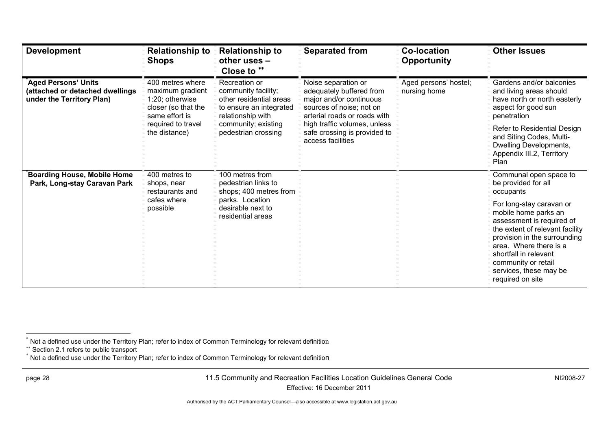| <b>Development</b>                                                                         | <b>Relationship to</b><br><b>Shops</b>                                                           | <b>Relationship to</b><br>other uses -<br>Close to **                                                           | <b>Separated from</b>                                                                                                                  | <b>Co-location</b><br><b>Opportunity</b> | <b>Other Issues</b>                                                                                                                                                                                                                                                      |
|--------------------------------------------------------------------------------------------|--------------------------------------------------------------------------------------------------|-----------------------------------------------------------------------------------------------------------------|----------------------------------------------------------------------------------------------------------------------------------------|------------------------------------------|--------------------------------------------------------------------------------------------------------------------------------------------------------------------------------------------------------------------------------------------------------------------------|
| <b>Aged Persons' Units</b><br>(attached or detached dwellings<br>under the Territory Plan) | 400 metres where<br>maximum gradient<br>1:20; otherwise<br>closer (so that the<br>same effort is | Recreation or<br>community facility;<br>other residential areas<br>to ensure an integrated<br>relationship with | Noise separation or<br>adequately buffered from<br>major and/or continuous<br>sources of noise; not on<br>arterial roads or roads with | Aged persons' hostel;<br>nursing home    | Gardens and/or balconies<br>and living areas should<br>have north or north easterly<br>aspect for good sun<br>penetration                                                                                                                                                |
|                                                                                            | the distance)                                                                                    | required to travel<br>community; existing<br>pedestrian crossing                                                | high traffic volumes, unless<br>safe crossing is provided to<br>access facilities                                                      |                                          | Refer to Residential Design<br>and Siting Codes, Multi-<br>Dwelling Developments,<br>Appendix III.2, Territory<br>Plan                                                                                                                                                   |
| <b>Boarding House, Mobile Home</b><br>Park, Long-stay Caravan Park                         | 400 metres to<br>shops, near<br>restaurants and                                                  | 100 metres from<br>pedestrian links to<br>shops; 400 metres from                                                |                                                                                                                                        |                                          | Communal open space to<br>be provided for all<br>occupants                                                                                                                                                                                                               |
|                                                                                            | cafes where<br>possible                                                                          | parks. Location<br>desirable next to<br>residential areas                                                       |                                                                                                                                        |                                          | For long-stay caravan or<br>mobile home parks an<br>assessment is required of<br>the extent of relevant facility<br>provision in the surrounding<br>area. Where there is a<br>shortfall in relevant<br>community or retail<br>services, these may be<br>required on site |

<sup>\*</sup> Not a defined use under the Territory Plan; refer to index of Common Terminology for relevant definitio<sup>n</sup>

<sup>\*\*</sup> Section 2.1 refers to public transport<br><sup>\*</sup> Not a defined use under the Territory Plan; refer to index of Common Terminology for relevant definition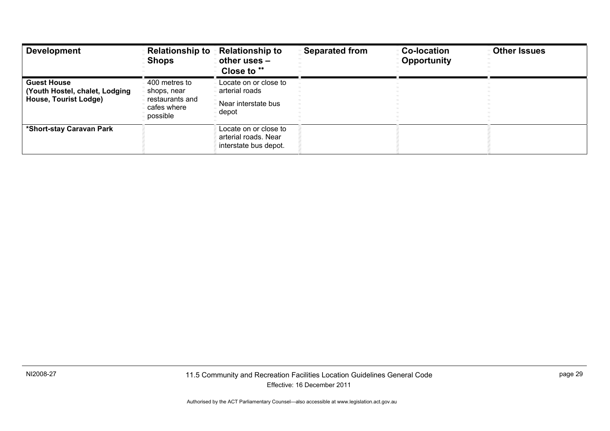| <b>Development</b>                                                            | <b>Relationship to</b><br><b>Shops</b>                         | <b>Relationship to</b><br>other uses $-$<br>Close to **                | <b>Separated from</b> | <b>Co-location</b><br><b>Opportunity</b> | <b>Other Issues</b> |
|-------------------------------------------------------------------------------|----------------------------------------------------------------|------------------------------------------------------------------------|-----------------------|------------------------------------------|---------------------|
| <b>Guest House</b><br>(Youth Hostel, chalet, Lodging<br>House, Tourist Lodge) | 400 metres to<br>shops, near<br>restaurants and<br>cafes where | Locate on or close to<br>arterial roads<br>Near interstate bus         |                       |                                          |                     |
|                                                                               | possible                                                       | depot                                                                  |                       |                                          |                     |
| *Short-stay Caravan Park                                                      |                                                                | Locate on or close to<br>arterial roads. Near<br>interstate bus depot. |                       |                                          |                     |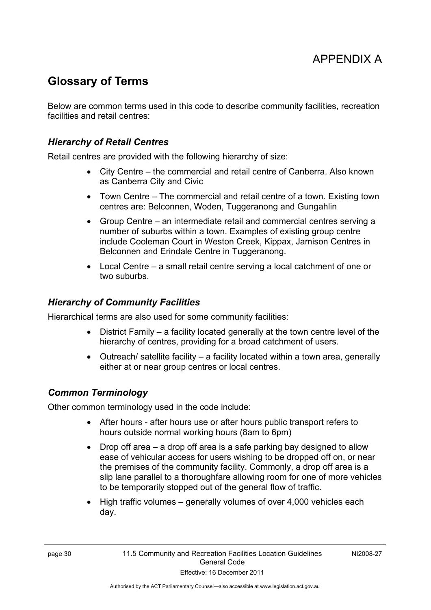# APPENDIX A

## <span id="page-33-0"></span>**Glossary of Terms**

Below are common terms used in this code to describe community facilities, recreation facilities and retail centres:

#### *Hierarchy of Retail Centres*

Retail centres are provided with the following hierarchy of size:

- City Centre the commercial and retail centre of Canberra. Also known as Canberra City and Civic
- Town Centre The commercial and retail centre of a town. Existing town centres are: Belconnen, Woden, Tuggeranong and Gungahlin
- Group Centre an intermediate retail and commercial centres serving a number of suburbs within a town. Examples of existing group centre include Cooleman Court in Weston Creek, Kippax, Jamison Centres in Belconnen and Erindale Centre in Tuggeranong.
- Local Centre a small retail centre serving a local catchment of one or two suburbs.

#### *Hierarchy of Community Facilities*

Hierarchical terms are also used for some community facilities:

- District Family a facility located generally at the town centre level of the hierarchy of centres, providing for a broad catchment of users.
- Outreach/ satellite facility a facility located within a town area, generally either at or near group centres or local centres.

#### *Common Terminology*

Other common terminology used in the code include:

- After hours after hours use or after hours public transport refers to hours outside normal working hours (8am to 6pm)
- Drop off area a drop off area is a safe parking bay designed to allow ease of vehicular access for users wishing to be dropped off on, or near the premises of the community facility. Commonly, a drop off area is a slip lane parallel to a thoroughfare allowing room for one of more vehicles to be temporarily stopped out of the general flow of traffic.
- $\bullet$  High traffic volumes generally volumes of over 4,000 vehicles each day.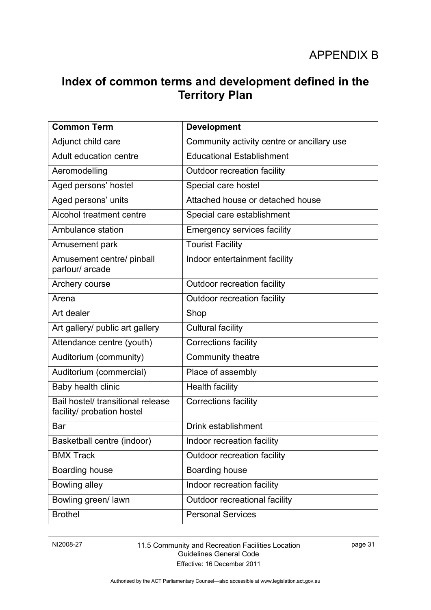## <span id="page-34-0"></span>**Index of common terms and development defined in the Territory Plan**

| <b>Common Term</b>                                              | <b>Development</b>                         |
|-----------------------------------------------------------------|--------------------------------------------|
| Adjunct child care                                              | Community activity centre or ancillary use |
| Adult education centre                                          | <b>Educational Establishment</b>           |
| Aeromodelling                                                   | Outdoor recreation facility                |
| Aged persons' hostel                                            | Special care hostel                        |
| Aged persons' units                                             | Attached house or detached house           |
| Alcohol treatment centre                                        | Special care establishment                 |
| Ambulance station                                               | <b>Emergency services facility</b>         |
| Amusement park                                                  | <b>Tourist Facility</b>                    |
| Amusement centre/ pinball<br>parlour/ arcade                    | Indoor entertainment facility              |
| Archery course                                                  | Outdoor recreation facility                |
| Arena                                                           | Outdoor recreation facility                |
| Art dealer                                                      | Shop                                       |
| Art gallery/ public art gallery                                 | <b>Cultural facility</b>                   |
| Attendance centre (youth)                                       | <b>Corrections facility</b>                |
| Auditorium (community)                                          | Community theatre                          |
| Auditorium (commercial)                                         | Place of assembly                          |
| Baby health clinic                                              | <b>Health facility</b>                     |
| Bail hostel/ transitional release<br>facility/ probation hostel | <b>Corrections facility</b>                |
| Bar                                                             | Drink establishment                        |
| Basketball centre (indoor)                                      | Indoor recreation facility                 |
| <b>BMX Track</b>                                                | Outdoor recreation facility                |
| Boarding house                                                  | Boarding house                             |
| Bowling alley                                                   | Indoor recreation facility                 |
| Bowling green/ lawn                                             | Outdoor recreational facility              |
| <b>Brothel</b>                                                  | <b>Personal Services</b>                   |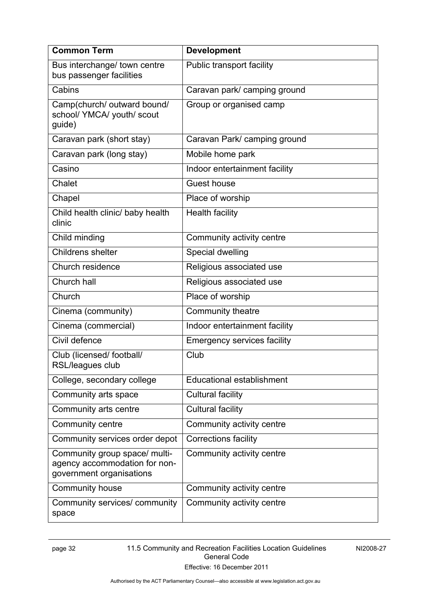| <b>Common Term</b>                                                                         | <b>Development</b>                 |  |
|--------------------------------------------------------------------------------------------|------------------------------------|--|
| Bus interchange/ town centre<br>bus passenger facilities                                   | Public transport facility          |  |
| Cabins                                                                                     | Caravan park/ camping ground       |  |
| Camp(church/ outward bound/<br>school/ YMCA/ youth/ scout<br>guide)                        | Group or organised camp            |  |
| Caravan park (short stay)                                                                  | Caravan Park/ camping ground       |  |
| Caravan park (long stay)                                                                   | Mobile home park                   |  |
| Casino                                                                                     | Indoor entertainment facility      |  |
| Chalet                                                                                     | <b>Guest house</b>                 |  |
| Chapel                                                                                     | Place of worship                   |  |
| Child health clinic/ baby health<br>clinic                                                 | <b>Health facility</b>             |  |
| Child minding                                                                              | Community activity centre          |  |
| Childrens shelter                                                                          | Special dwelling                   |  |
| Church residence                                                                           | Religious associated use           |  |
| Church hall                                                                                | Religious associated use           |  |
| Church                                                                                     | Place of worship                   |  |
| Cinema (community)                                                                         | Community theatre                  |  |
| Cinema (commercial)                                                                        | Indoor entertainment facility      |  |
| Civil defence                                                                              | <b>Emergency services facility</b> |  |
| Club (licensed/ football/<br><b>RSL/leagues club</b>                                       | Club                               |  |
| College, secondary college                                                                 | <b>Educational establishment</b>   |  |
| Community arts space                                                                       | Cultural facility                  |  |
| Community arts centre                                                                      | Cultural facility                  |  |
| Community centre                                                                           | Community activity centre          |  |
| Community services order depot                                                             | Corrections facility               |  |
| Community group space/ multi-<br>agency accommodation for non-<br>government organisations | Community activity centre          |  |
| Community house                                                                            | Community activity centre          |  |
| Community services/ community<br>space                                                     | Community activity centre          |  |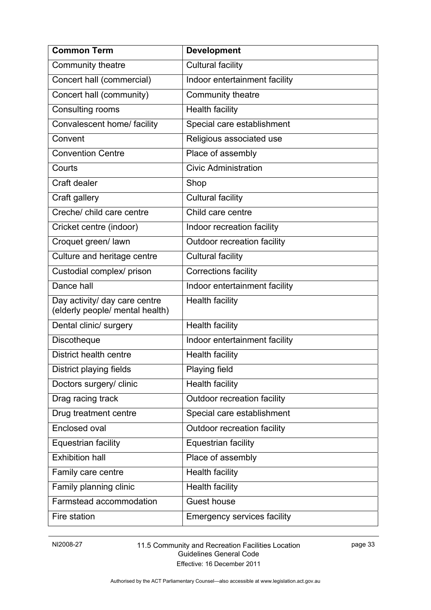| <b>Common Term</b>                                               | <b>Development</b>                 |
|------------------------------------------------------------------|------------------------------------|
| Community theatre                                                | <b>Cultural facility</b>           |
| Concert hall (commercial)                                        | Indoor entertainment facility      |
| Concert hall (community)                                         | Community theatre                  |
| Consulting rooms                                                 | <b>Health facility</b>             |
| Convalescent home/ facility                                      | Special care establishment         |
| Convent                                                          | Religious associated use           |
| <b>Convention Centre</b>                                         | Place of assembly                  |
| Courts                                                           | <b>Civic Administration</b>        |
| Craft dealer                                                     | Shop                               |
| Craft gallery                                                    | Cultural facility                  |
| Creche/ child care centre                                        | Child care centre                  |
| Cricket centre (indoor)                                          | Indoor recreation facility         |
| Croquet green/ lawn                                              | Outdoor recreation facility        |
| Culture and heritage centre                                      | <b>Cultural facility</b>           |
| Custodial complex/ prison                                        | <b>Corrections facility</b>        |
| Dance hall                                                       | Indoor entertainment facility      |
| Day activity/ day care centre<br>(elderly people/ mental health) | <b>Health facility</b>             |
| Dental clinic/ surgery                                           | <b>Health facility</b>             |
| Discotheque                                                      | Indoor entertainment facility      |
| District health centre                                           | <b>Health facility</b>             |
| District playing fields                                          | Playing field                      |
| Doctors surgery/ clinic                                          | <b>Health facility</b>             |
| Drag racing track                                                | Outdoor recreation facility        |
| Drug treatment centre                                            | Special care establishment         |
| Enclosed oval                                                    | Outdoor recreation facility        |
| Equestrian facility                                              | <b>Equestrian facility</b>         |
| <b>Exhibition hall</b>                                           | Place of assembly                  |
| Family care centre                                               | <b>Health facility</b>             |
| Family planning clinic                                           | <b>Health facility</b>             |
| Farmstead accommodation                                          | <b>Guest house</b>                 |
| Fire station                                                     | <b>Emergency services facility</b> |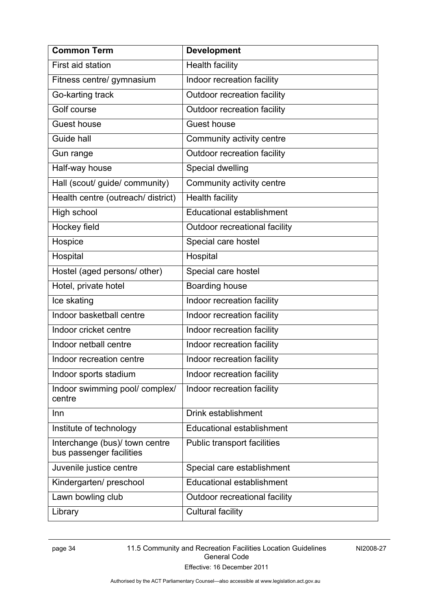| <b>Common Term</b>                                         | <b>Development</b>               |
|------------------------------------------------------------|----------------------------------|
| First aid station                                          | <b>Health facility</b>           |
| Fitness centre/ gymnasium                                  | Indoor recreation facility       |
| Go-karting track                                           | Outdoor recreation facility      |
| Golf course                                                | Outdoor recreation facility      |
| <b>Guest house</b>                                         | <b>Guest house</b>               |
| Guide hall                                                 | Community activity centre        |
| Gun range                                                  | Outdoor recreation facility      |
| Half-way house                                             | Special dwelling                 |
| Hall (scout/ guide/ community)                             | Community activity centre        |
| Health centre (outreach/ district)                         | <b>Health facility</b>           |
| High school                                                | <b>Educational establishment</b> |
| Hockey field                                               | Outdoor recreational facility    |
| Hospice                                                    | Special care hostel              |
| Hospital                                                   | Hospital                         |
| Hostel (aged persons/ other)                               | Special care hostel              |
| Hotel, private hotel                                       | Boarding house                   |
| Ice skating                                                | Indoor recreation facility       |
| Indoor basketball centre                                   | Indoor recreation facility       |
| Indoor cricket centre                                      | Indoor recreation facility       |
| Indoor netball centre                                      | Indoor recreation facility       |
| Indoor recreation centre                                   | Indoor recreation facility       |
| Indoor sports stadium                                      | Indoor recreation facility       |
| Indoor swimming pool/ complex/<br>centre                   | Indoor recreation facility       |
| Inn                                                        | Drink establishment              |
| Institute of technology                                    | <b>Educational establishment</b> |
| Interchange (bus)/ town centre<br>bus passenger facilities | Public transport facilities      |
| Juvenile justice centre                                    | Special care establishment       |
| Kindergarten/preschool                                     | <b>Educational establishment</b> |
| Lawn bowling club                                          | Outdoor recreational facility    |
| Library                                                    | <b>Cultural facility</b>         |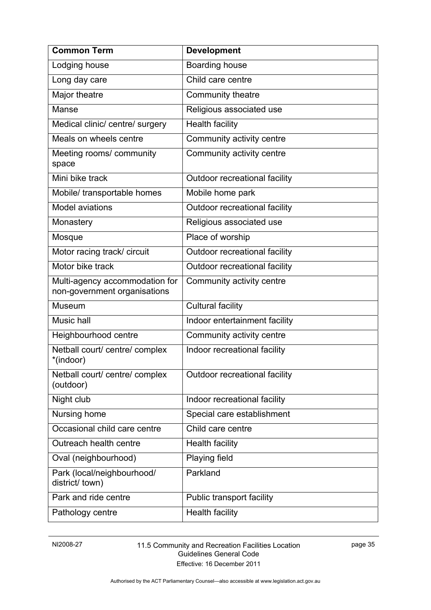| <b>Common Term</b>                                             | <b>Development</b>               |
|----------------------------------------------------------------|----------------------------------|
| Lodging house                                                  | <b>Boarding house</b>            |
| Long day care                                                  | Child care centre                |
| Major theatre                                                  | Community theatre                |
| Manse                                                          | Religious associated use         |
| Medical clinic/ centre/ surgery                                | <b>Health facility</b>           |
| Meals on wheels centre                                         | Community activity centre        |
| Meeting rooms/ community<br>space                              | Community activity centre        |
| Mini bike track                                                | Outdoor recreational facility    |
| Mobile/ transportable homes                                    | Mobile home park                 |
| <b>Model aviations</b>                                         | Outdoor recreational facility    |
| Monastery                                                      | Religious associated use         |
| Mosque                                                         | Place of worship                 |
| Motor racing track/ circuit                                    | Outdoor recreational facility    |
| Motor bike track                                               | Outdoor recreational facility    |
| Multi-agency accommodation for<br>non-government organisations | Community activity centre        |
| Museum                                                         | <b>Cultural facility</b>         |
| Music hall                                                     | Indoor entertainment facility    |
| Heighbourhood centre                                           | Community activity centre        |
| Netball court/ centre/ complex<br>*(indoor)                    | Indoor recreational facility     |
| Netball court/ centre/ complex<br>(outdoor)                    | Outdoor recreational facility    |
| Night club                                                     | Indoor recreational facility     |
| Nursing home                                                   | Special care establishment       |
| Occasional child care centre                                   | Child care centre                |
| Outreach health centre                                         | <b>Health facility</b>           |
| Oval (neighbourhood)                                           | Playing field                    |
| Park (local/neighbourhood/<br>district/ town)                  | Parkland                         |
| Park and ride centre                                           | <b>Public transport facility</b> |
| Pathology centre                                               | <b>Health facility</b>           |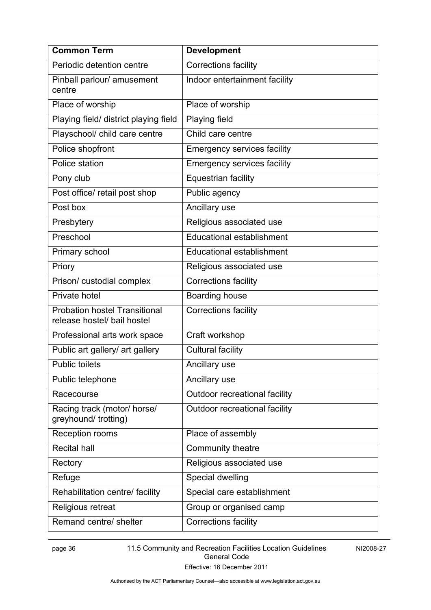| <b>Common Term</b>                                                  | <b>Development</b>                 |
|---------------------------------------------------------------------|------------------------------------|
| Periodic detention centre                                           | <b>Corrections facility</b>        |
| Pinball parlour/ amusement<br>centre                                | Indoor entertainment facility      |
| Place of worship                                                    | Place of worship                   |
| Playing field/ district playing field                               | <b>Playing field</b>               |
| Playschool/ child care centre                                       | Child care centre                  |
| Police shopfront                                                    | <b>Emergency services facility</b> |
| Police station                                                      | <b>Emergency services facility</b> |
| Pony club                                                           | <b>Equestrian facility</b>         |
| Post office/ retail post shop                                       | Public agency                      |
| Post box                                                            | Ancillary use                      |
| Presbytery                                                          | Religious associated use           |
| Preschool                                                           | <b>Educational establishment</b>   |
| Primary school                                                      | Educational establishment          |
| Priory                                                              | Religious associated use           |
| Prison/ custodial complex                                           | <b>Corrections facility</b>        |
| Private hotel                                                       | Boarding house                     |
| <b>Probation hostel Transitional</b><br>release hostel/ bail hostel | <b>Corrections facility</b>        |
| Professional arts work space                                        | Craft workshop                     |
| Public art gallery/ art gallery                                     | <b>Cultural facility</b>           |
| <b>Public toilets</b>                                               | Ancillary use                      |
| Public telephone                                                    | Ancillary use                      |
| Racecourse                                                          | Outdoor recreational facility      |
| Racing track (motor/ horse/<br>greyhound/ trotting)                 | Outdoor recreational facility      |
| Reception rooms                                                     | Place of assembly                  |
| <b>Recital hall</b>                                                 | Community theatre                  |
| Rectory                                                             | Religious associated use           |
| Refuge                                                              | Special dwelling                   |
| Rehabilitation centre/ facility                                     | Special care establishment         |
| Religious retreat                                                   | Group or organised camp            |
| Remand centre/ shelter                                              | <b>Corrections facility</b>        |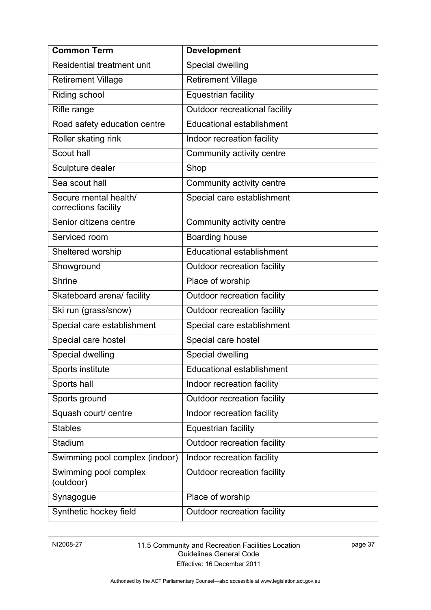| <b>Common Term</b>                            | <b>Development</b>               |
|-----------------------------------------------|----------------------------------|
| Residential treatment unit                    | Special dwelling                 |
| <b>Retirement Village</b>                     | <b>Retirement Village</b>        |
| Riding school                                 | <b>Equestrian facility</b>       |
| Rifle range                                   | Outdoor recreational facility    |
| Road safety education centre                  | <b>Educational establishment</b> |
| Roller skating rink                           | Indoor recreation facility       |
| Scout hall                                    | Community activity centre        |
| Sculpture dealer                              | Shop                             |
| Sea scout hall                                | Community activity centre        |
| Secure mental health/<br>corrections facility | Special care establishment       |
| Senior citizens centre                        | Community activity centre        |
| Serviced room                                 | Boarding house                   |
| Sheltered worship                             | <b>Educational establishment</b> |
| Showground                                    | Outdoor recreation facility      |
| <b>Shrine</b>                                 | Place of worship                 |
| Skateboard arena/ facility                    | Outdoor recreation facility      |
| Ski run (grass/snow)                          | Outdoor recreation facility      |
| Special care establishment                    | Special care establishment       |
| Special care hostel                           | Special care hostel              |
| Special dwelling                              | Special dwelling                 |
| Sports institute                              | <b>Educational establishment</b> |
| Sports hall                                   | Indoor recreation facility       |
| Sports ground                                 | Outdoor recreation facility      |
| Squash court/ centre                          | Indoor recreation facility       |
| <b>Stables</b>                                | <b>Equestrian facility</b>       |
| Stadium                                       | Outdoor recreation facility      |
| Swimming pool complex (indoor)                | Indoor recreation facility       |
| Swimming pool complex<br>(outdoor)            | Outdoor recreation facility      |
| Synagogue                                     | Place of worship                 |
| Synthetic hockey field                        | Outdoor recreation facility      |